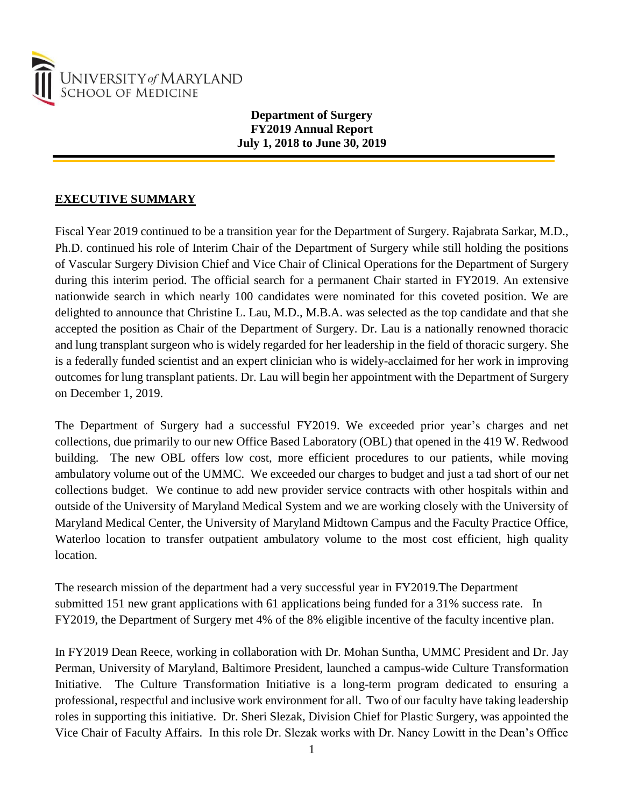

**Department of Surgery FY2019 Annual Report July 1, 2018 to June 30, 2019**

### **EXECUTIVE SUMMARY**

Fiscal Year 2019 continued to be a transition year for the Department of Surgery. Rajabrata Sarkar, M.D., Ph.D. continued his role of Interim Chair of the Department of Surgery while still holding the positions of Vascular Surgery Division Chief and Vice Chair of Clinical Operations for the Department of Surgery during this interim period. The official search for a permanent Chair started in FY2019. An extensive nationwide search in which nearly 100 candidates were nominated for this coveted position. We are delighted to announce that Christine L. Lau, M.D., M.B.A. was selected as the top candidate and that she accepted the position as Chair of the Department of Surgery. Dr. Lau is a nationally renowned thoracic and lung transplant surgeon who is widely regarded for her leadership in the field of thoracic surgery. She is a federally funded scientist and an expert clinician who is widely-acclaimed for her work in improving outcomes for lung transplant patients. Dr. Lau will begin her appointment with the Department of Surgery on December 1, 2019.

The Department of Surgery had a successful FY2019. We exceeded prior year's charges and net collections, due primarily to our new Office Based Laboratory (OBL) that opened in the 419 W. Redwood building. The new OBL offers low cost, more efficient procedures to our patients, while moving ambulatory volume out of the UMMC. We exceeded our charges to budget and just a tad short of our net collections budget. We continue to add new provider service contracts with other hospitals within and outside of the University of Maryland Medical System and we are working closely with the University of Maryland Medical Center, the University of Maryland Midtown Campus and the Faculty Practice Office, Waterloo location to transfer outpatient ambulatory volume to the most cost efficient, high quality location.

The research mission of the department had a very successful year in FY2019.The Department submitted 151 new grant applications with 61 applications being funded for a 31% success rate. In FY2019, the Department of Surgery met 4% of the 8% eligible incentive of the faculty incentive plan.

In FY2019 Dean Reece, working in collaboration with Dr. Mohan Suntha, UMMC President and Dr. Jay Perman, University of Maryland, Baltimore President, launched a campus-wide Culture Transformation Initiative. The Culture Transformation Initiative is a long-term program dedicated to ensuring a professional, respectful and inclusive work environment for all. Two of our faculty have taking leadership roles in supporting this initiative. Dr. Sheri Slezak, Division Chief for Plastic Surgery, was appointed the Vice Chair of Faculty Affairs. In this role Dr. Slezak works with Dr. Nancy Lowitt in the Dean's Office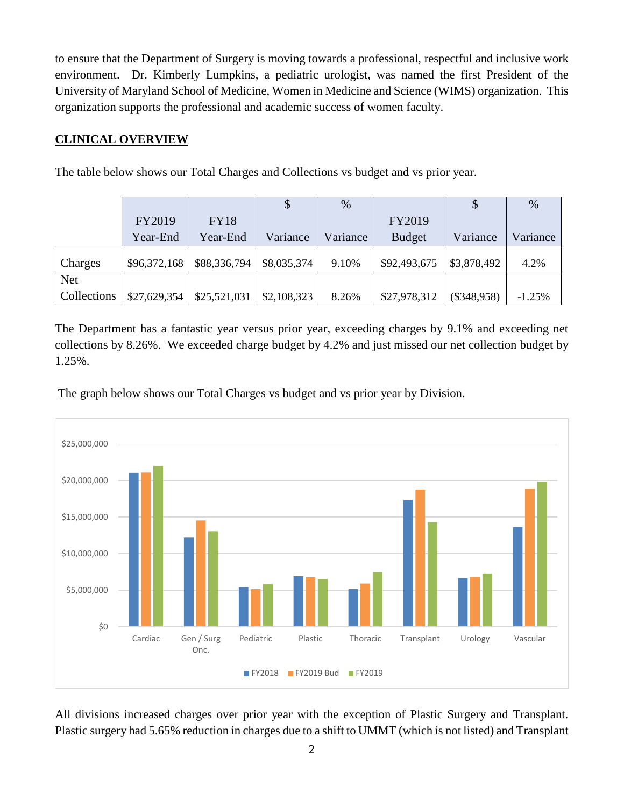to ensure that the Department of Surgery is moving towards a professional, respectful and inclusive work environment. Dr. Kimberly Lumpkins, a pediatric urologist, was named the first President of the University of Maryland School of Medicine, Women in Medicine and Science (WIMS) organization. This organization supports the professional and academic success of women faculty.

### **CLINICAL OVERVIEW**

The table below shows our Total Charges and Collections vs budget and vs prior year.

|             |              |              | \$          | %        |               |               | $\%$     |
|-------------|--------------|--------------|-------------|----------|---------------|---------------|----------|
|             | FY2019       | <b>FY18</b>  |             |          | FY2019        |               |          |
|             | Year-End     | Year-End     | Variance    | Variance | <b>Budget</b> | Variance      | Variance |
| Charges     | \$96,372,168 | \$88,336,794 | \$8,035,374 | 9.10%    | \$92,493,675  | \$3,878,492   | 4.2%     |
| <b>Net</b>  |              |              |             |          |               |               |          |
| Collections | \$27,629,354 | \$25,521,031 | \$2,108,323 | 8.26%    | \$27,978,312  | $(\$348,958)$ | $-1.25%$ |

The Department has a fantastic year versus prior year, exceeding charges by 9.1% and exceeding net collections by 8.26%. We exceeded charge budget by 4.2% and just missed our net collection budget by 1.25%.

The graph below shows our Total Charges vs budget and vs prior year by Division.



All divisions increased charges over prior year with the exception of Plastic Surgery and Transplant. Plastic surgery had 5.65% reduction in charges due to a shift to UMMT (which is not listed) and Transplant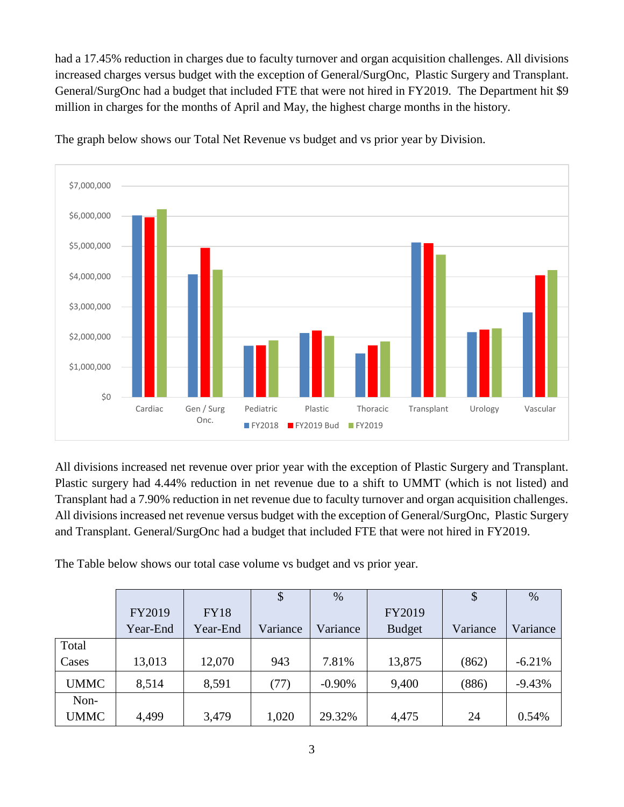had a 17.45% reduction in charges due to faculty turnover and organ acquisition challenges. All divisions increased charges versus budget with the exception of General/SurgOnc, Plastic Surgery and Transplant. General/SurgOnc had a budget that included FTE that were not hired in FY2019. The Department hit \$9 million in charges for the months of April and May, the highest charge months in the history.



The graph below shows our Total Net Revenue vs budget and vs prior year by Division.

All divisions increased net revenue over prior year with the exception of Plastic Surgery and Transplant. Plastic surgery had 4.44% reduction in net revenue due to a shift to UMMT (which is not listed) and Transplant had a 7.90% reduction in net revenue due to faculty turnover and organ acquisition challenges. All divisions increased net revenue versus budget with the exception of General/SurgOnc, Plastic Surgery and Transplant. General/SurgOnc had a budget that included FTE that were not hired in FY2019.

The Table below shows our total case volume vs budget and vs prior year.

|             |          |             | \$       | $\%$     |               | \$       | $\%$     |
|-------------|----------|-------------|----------|----------|---------------|----------|----------|
|             | FY2019   | <b>FY18</b> |          |          | FY2019        |          |          |
|             | Year-End | Year-End    | Variance | Variance | <b>Budget</b> | Variance | Variance |
| Total       |          |             |          |          |               |          |          |
| Cases       | 13,013   | 12,070      | 943      | 7.81%    | 13,875        | (862)    | $-6.21%$ |
| <b>UMMC</b> | 8,514    | 8,591       | (77)     | $-0.90%$ | 9,400         | (886)    | $-9.43%$ |
| Non-        |          |             |          |          |               |          |          |
| <b>UMMC</b> | 4,499    | 3,479       | 1,020    | 29.32%   | 4,475         | 24       | 0.54%    |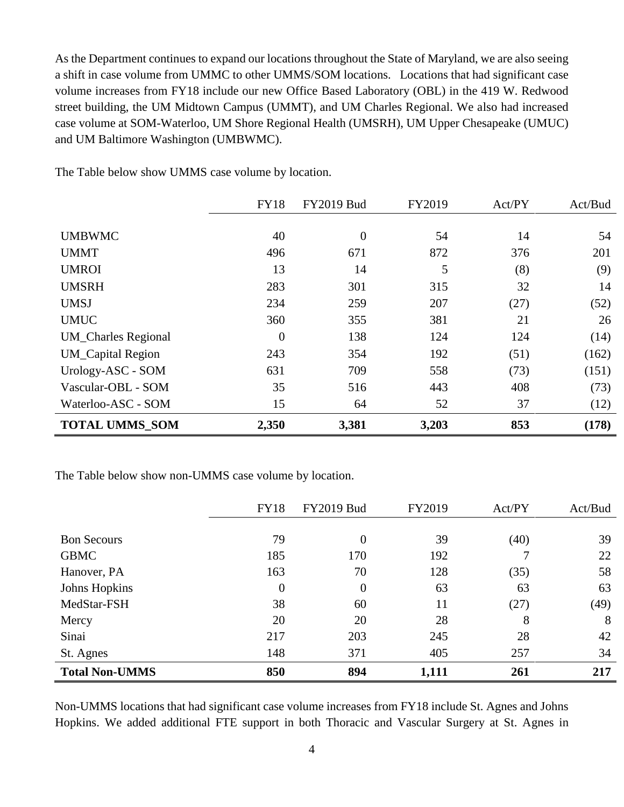As the Department continues to expand our locations throughout the State of Maryland, we are also seeing a shift in case volume from UMMC to other UMMS/SOM locations. Locations that had significant case volume increases from FY18 include our new Office Based Laboratory (OBL) in the 419 W. Redwood street building, the UM Midtown Campus (UMMT), and UM Charles Regional. We also had increased case volume at SOM-Waterloo, UM Shore Regional Health (UMSRH), UM Upper Chesapeake (UMUC) and UM Baltimore Washington (UMBWMC).

|                            | <b>FY18</b>    | <b>FY2019 Bud</b> | FY2019 | Act/PY | Act/Bud |
|----------------------------|----------------|-------------------|--------|--------|---------|
|                            |                |                   |        |        |         |
| <b>UMBWMC</b>              | 40             | $\overline{0}$    | 54     | 14     | 54      |
| <b>UMMT</b>                | 496            | 671               | 872    | 376    | 201     |
| <b>UMROI</b>               | 13             | 14                | 5      | (8)    | (9)     |
| <b>UMSRH</b>               | 283            | 301               | 315    | 32     | 14      |
| <b>UMSJ</b>                | 234            | 259               | 207    | (27)   | (52)    |
| <b>UMUC</b>                | 360            | 355               | 381    | 21     | 26      |
| <b>UM_Charles Regional</b> | $\overline{0}$ | 138               | 124    | 124    | (14)    |
| <b>UM_Capital Region</b>   | 243            | 354               | 192    | (51)   | (162)   |
| Urology-ASC - SOM          | 631            | 709               | 558    | (73)   | (151)   |
| Vascular-OBL - SOM         | 35             | 516               | 443    | 408    | (73)    |
| Waterloo-ASC - SOM         | 15             | 64                | 52     | 37     | (12)    |
| <b>TOTAL UMMS SOM</b>      | 2,350          | 3,381             | 3,203  | 853    | (178)   |

The Table below show UMMS case volume by location.

The Table below show non-UMMS case volume by location.

|                       | <b>FY18</b>    | <b>FY2019 Bud</b> | FY2019 | Act/PY | Act/Bud |
|-----------------------|----------------|-------------------|--------|--------|---------|
|                       |                |                   |        |        |         |
| <b>Bon Secours</b>    | 79             | 0                 | 39     | (40)   | 39      |
| <b>GBMC</b>           | 185            | 170               | 192    |        | 22      |
| Hanover, PA           | 163            | 70                | 128    | (35)   | 58      |
| Johns Hopkins         | $\overline{0}$ | 0                 | 63     | 63     | 63      |
| MedStar-FSH           | 38             | 60                | 11     | (27)   | (49)    |
| Mercy                 | 20             | 20                | 28     | 8      | 8       |
| Sinai                 | 217            | 203               | 245    | 28     | 42      |
| St. Agnes             | 148            | 371               | 405    | 257    | 34      |
| <b>Total Non-UMMS</b> | 850            | 894               | 1,111  | 261    | 217     |

Non-UMMS locations that had significant case volume increases from FY18 include St. Agnes and Johns Hopkins. We added additional FTE support in both Thoracic and Vascular Surgery at St. Agnes in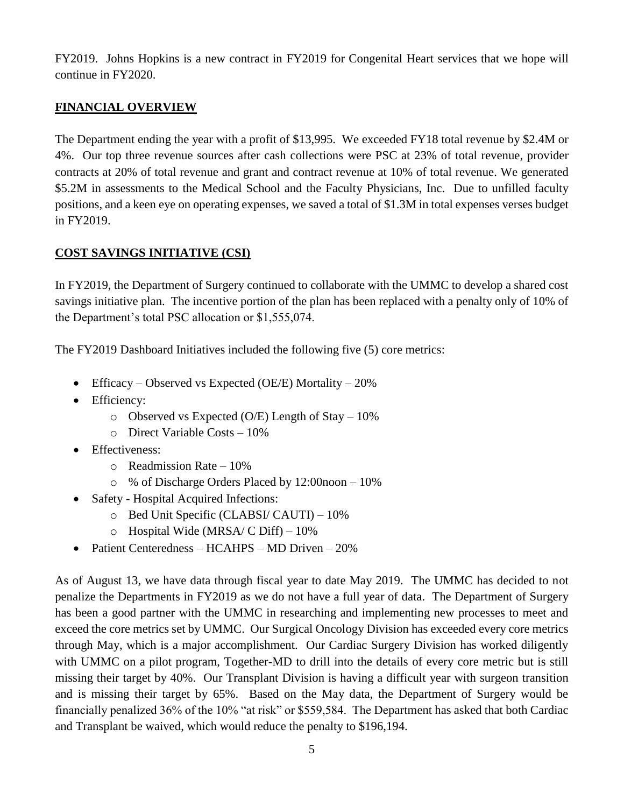FY2019. Johns Hopkins is a new contract in FY2019 for Congenital Heart services that we hope will continue in FY2020.

### **FINANCIAL OVERVIEW**

The Department ending the year with a profit of \$13,995. We exceeded FY18 total revenue by \$2.4M or 4%. Our top three revenue sources after cash collections were PSC at 23% of total revenue, provider contracts at 20% of total revenue and grant and contract revenue at 10% of total revenue. We generated \$5.2M in assessments to the Medical School and the Faculty Physicians, Inc. Due to unfilled faculty positions, and a keen eye on operating expenses, we saved a total of \$1.3M in total expenses verses budget in FY2019.

### **COST SAVINGS INITIATIVE (CSI)**

In FY2019, the Department of Surgery continued to collaborate with the UMMC to develop a shared cost savings initiative plan. The incentive portion of the plan has been replaced with a penalty only of 10% of the Department's total PSC allocation or \$1,555,074.

The FY2019 Dashboard Initiatives included the following five (5) core metrics:

- Efficacy Observed vs Expected (OE/E) Mortality 20%
- Efficiency:
	- $\circ$  Observed vs Expected (O/E) Length of Stay 10%
	- o Direct Variable Costs 10%
- Effectiveness:
	- o Readmission Rate 10%
	- o % of Discharge Orders Placed by 12:00noon 10%
- Safety Hospital Acquired Infections:
	- o Bed Unit Specific (CLABSI/ CAUTI) 10%
	- $\circ$  Hospital Wide (MRSA/ C Diff) 10%
- Patient Centeredness HCAHPS MD Driven 20%

As of August 13, we have data through fiscal year to date May 2019. The UMMC has decided to not penalize the Departments in FY2019 as we do not have a full year of data. The Department of Surgery has been a good partner with the UMMC in researching and implementing new processes to meet and exceed the core metrics set by UMMC. Our Surgical Oncology Division has exceeded every core metrics through May, which is a major accomplishment. Our Cardiac Surgery Division has worked diligently with UMMC on a pilot program, Together-MD to drill into the details of every core metric but is still missing their target by 40%. Our Transplant Division is having a difficult year with surgeon transition and is missing their target by 65%. Based on the May data, the Department of Surgery would be financially penalized 36% of the 10% "at risk" or \$559,584. The Department has asked that both Cardiac and Transplant be waived, which would reduce the penalty to \$196,194.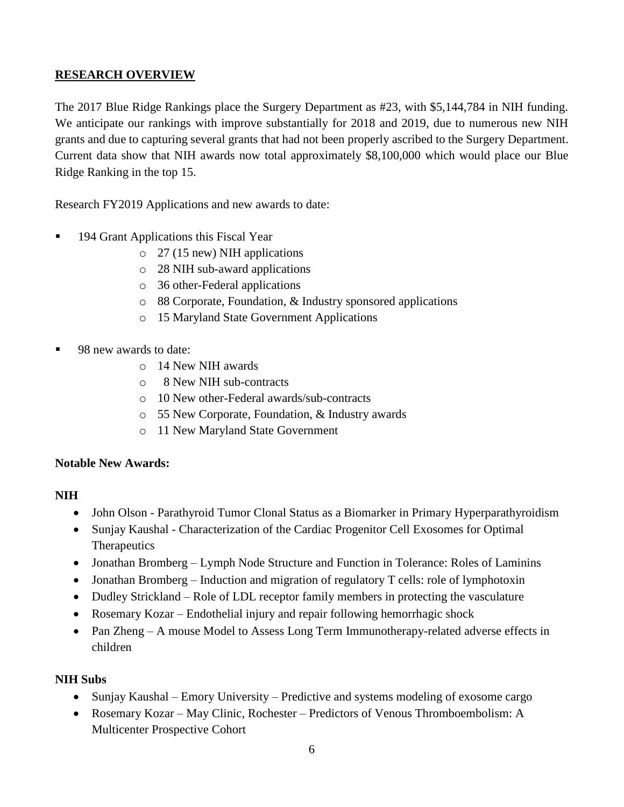### **RESEARCH OVERVIEW**

The 2017 Blue Ridge Rankings place the Surgery Department as #23, with \$5,144,784 in NIH funding. We anticipate our rankings with improve substantially for 2018 and 2019, due to numerous new NIH grants and due to capturing several grants that had not been properly ascribed to the Surgery Department. Current data show that NIH awards now total approximately \$8,100,000 which would place our Blue Ridge Ranking in the top 15.

Research FY2019 Applications and new awards to date:

- 194 Grant Applications this Fiscal Year
	- o 27 (15 new) NIH applications
	- o 28 NIH sub-award applications
	- o 36 other-Federal applications
	- o 88 Corporate, Foundation, & Industry sponsored applications
	- o 15 Maryland State Government Applications
- 98 new awards to date:
	- o 14 New NIH awards
	- o 8 New NIH sub-contracts
	- o 10 New other-Federal awards/sub-contracts
	- o 55 New Corporate, Foundation, & Industry awards
	- o 11 New Maryland State Government

### **Notable New Awards:**

### **NIH**

- John Olson Parathyroid Tumor Clonal Status as a Biomarker in Primary Hyperparathyroidism
- Sunjay Kaushal Characterization of the Cardiac Progenitor Cell Exosomes for Optimal **Therapeutics**
- Jonathan Bromberg Lymph Node Structure and Function in Tolerance: Roles of Laminins
- Jonathan Bromberg Induction and migration of regulatory T cells: role of lymphotoxin
- Dudley Strickland Role of LDL receptor family members in protecting the vasculature
- Rosemary Kozar Endothelial injury and repair following hemorrhagic shock
- Pan Zheng A mouse Model to Assess Long Term Immunotherapy-related adverse effects in children

### **NIH Subs**

- Sunjay Kaushal Emory University Predictive and systems modeling of exosome cargo
- Rosemary Kozar May Clinic, Rochester Predictors of Venous Thromboembolism: A Multicenter Prospective Cohort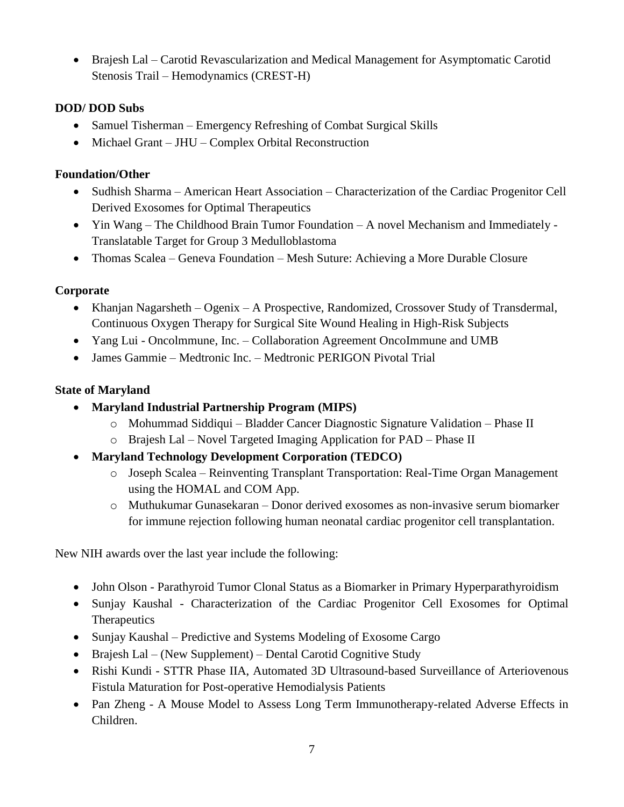• Brajesh Lal – Carotid Revascularization and Medical Management for Asymptomatic Carotid Stenosis Trail – Hemodynamics (CREST-H)

## **DOD/ DOD Subs**

- Samuel Tisherman Emergency Refreshing of Combat Surgical Skills
- Michael Grant JHU Complex Orbital Reconstruction

### **Foundation/Other**

- Sudhish Sharma American Heart Association Characterization of the Cardiac Progenitor Cell Derived Exosomes for Optimal Therapeutics
- Yin Wang The Childhood Brain Tumor Foundation A novel Mechanism and Immediately Translatable Target for Group 3 Medulloblastoma
- Thomas Scalea Geneva Foundation Mesh Suture: Achieving a More Durable Closure

### **Corporate**

- Khanjan Nagarsheth Ogenix A Prospective, Randomized, Crossover Study of Transdermal, Continuous Oxygen Therapy for Surgical Site Wound Healing in High-Risk Subjects
- Yang Lui Oncolmmune, Inc. Collaboration Agreement Oncolmmune and UMB
- James Gammie Medtronic Inc. Medtronic PERIGON Pivotal Trial

### **State of Maryland**

- **Maryland Industrial Partnership Program (MIPS)**
	- o Mohummad Siddiqui Bladder Cancer Diagnostic Signature Validation Phase II
	- o Brajesh Lal Novel Targeted Imaging Application for PAD Phase II
- **Maryland Technology Development Corporation (TEDCO)**
	- o Joseph Scalea Reinventing Transplant Transportation: Real-Time Organ Management using the HOMAL and COM App.
	- o Muthukumar Gunasekaran Donor derived exosomes as non-invasive serum biomarker for immune rejection following human neonatal cardiac progenitor cell transplantation.

New NIH awards over the last year include the following:

- John Olson Parathyroid Tumor Clonal Status as a Biomarker in Primary Hyperparathyroidism
- Sunjay Kaushal Characterization of the Cardiac Progenitor Cell Exosomes for Optimal **Therapeutics**
- Sunjay Kaushal Predictive and Systems Modeling of Exosome Cargo
- Brajesh Lal (New Supplement) Dental Carotid Cognitive Study
- Rishi Kundi STTR Phase IIA, Automated 3D Ultrasound-based Surveillance of Arteriovenous Fistula Maturation for Post-operative Hemodialysis Patients
- Pan Zheng A Mouse Model to Assess Long Term Immunotherapy-related Adverse Effects in Children.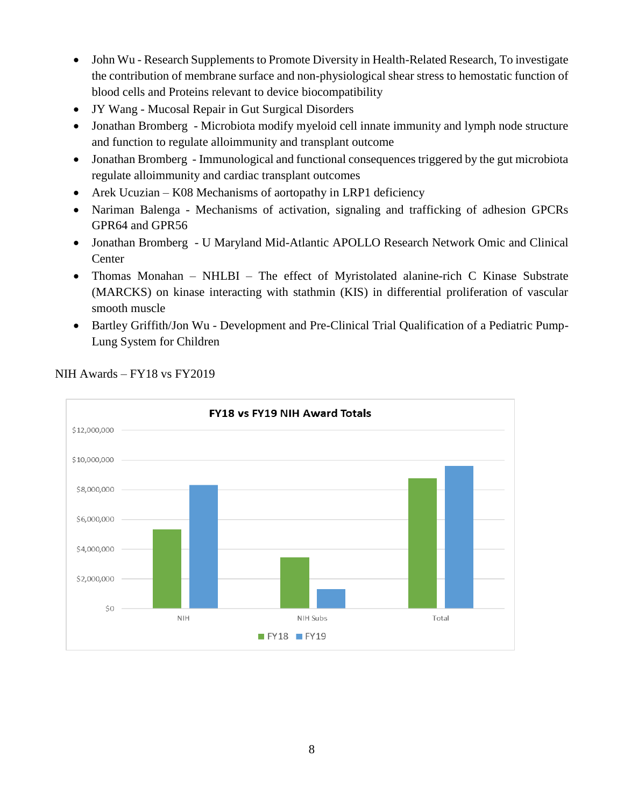- John Wu Research Supplements to Promote Diversity in Health-Related Research, To investigate the contribution of membrane surface and non-physiological shear stress to hemostatic function of blood cells and Proteins relevant to device biocompatibility
- JY Wang Mucosal Repair in Gut Surgical Disorders
- Jonathan Bromberg Microbiota modify myeloid cell innate immunity and lymph node structure and function to regulate alloimmunity and transplant outcome
- Jonathan Bromberg Immunological and functional consequences triggered by the gut microbiota regulate alloimmunity and cardiac transplant outcomes
- Arek Ucuzian K08 Mechanisms of aortopathy in LRP1 deficiency
- Nariman Balenga Mechanisms of activation, signaling and trafficking of adhesion GPCRs GPR64 and GPR56
- Jonathan Bromberg U Maryland Mid-Atlantic APOLLO Research Network Omic and Clinical **Center**
- Thomas Monahan NHLBI The effect of Myristolated alanine-rich C Kinase Substrate (MARCKS) on kinase interacting with stathmin (KIS) in differential proliferation of vascular smooth muscle
- Bartley Griffith/Jon Wu Development and Pre-Clinical Trial Qualification of a Pediatric Pump-Lung System for Children



NIH Awards – FY18 vs FY2019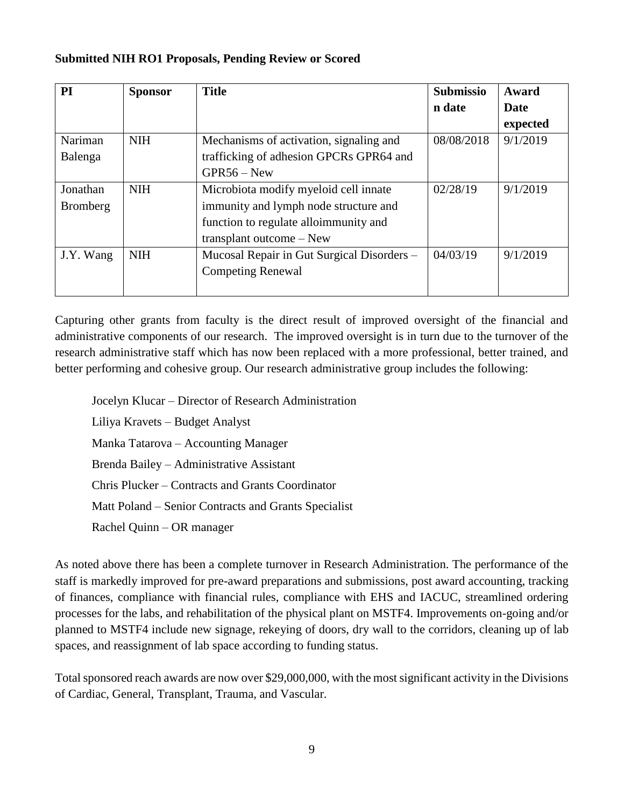#### **Submitted NIH RO1 Proposals, Pending Review or Scored**

| PI              | <b>Sponsor</b> | <b>Title</b>                               | <b>Submissio</b> | Award    |
|-----------------|----------------|--------------------------------------------|------------------|----------|
|                 |                |                                            | n date           | Date     |
|                 |                |                                            |                  | expected |
| Nariman         | <b>NIH</b>     | Mechanisms of activation, signaling and    | 08/08/2018       | 9/1/2019 |
| Balenga         |                | trafficking of adhesion GPCRs GPR64 and    |                  |          |
|                 |                | $GPR56 - New$                              |                  |          |
| Jonathan        | <b>NIH</b>     | Microbiota modify myeloid cell innate      | 02/28/19         | 9/1/2019 |
| <b>Bromberg</b> |                | immunity and lymph node structure and      |                  |          |
|                 |                | function to regulate alloimmunity and      |                  |          |
|                 |                | transplant outcome – New                   |                  |          |
| J.Y. Wang       | <b>NIH</b>     | Mucosal Repair in Gut Surgical Disorders - | 04/03/19         | 9/1/2019 |
|                 |                | <b>Competing Renewal</b>                   |                  |          |
|                 |                |                                            |                  |          |

Capturing other grants from faculty is the direct result of improved oversight of the financial and administrative components of our research. The improved oversight is in turn due to the turnover of the research administrative staff which has now been replaced with a more professional, better trained, and better performing and cohesive group. Our research administrative group includes the following:

Jocelyn Klucar – Director of Research Administration Liliya Kravets – Budget Analyst Manka Tatarova – Accounting Manager Brenda Bailey – Administrative Assistant Chris Plucker – Contracts and Grants Coordinator Matt Poland – Senior Contracts and Grants Specialist Rachel Quinn – OR manager

As noted above there has been a complete turnover in Research Administration. The performance of the staff is markedly improved for pre-award preparations and submissions, post award accounting, tracking of finances, compliance with financial rules, compliance with EHS and IACUC, streamlined ordering processes for the labs, and rehabilitation of the physical plant on MSTF4. Improvements on-going and/or planned to MSTF4 include new signage, rekeying of doors, dry wall to the corridors, cleaning up of lab spaces, and reassignment of lab space according to funding status.

Total sponsored reach awards are now over \$29,000,000, with the most significant activity in the Divisions of Cardiac, General, Transplant, Trauma, and Vascular.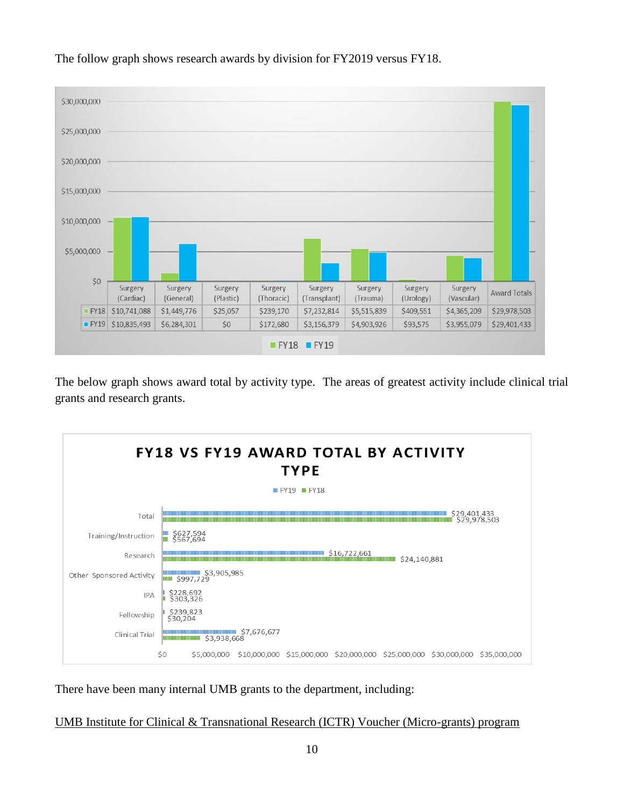

The follow graph shows research awards by division for FY2019 versus FY18.

The below graph shows award total by activity type. The areas of greatest activity include clinical trial grants and research grants.



There have been many internal UMB grants to the department, including:

UMB Institute for Clinical & Transnational Research (ICTR) Voucher (Micro-grants) program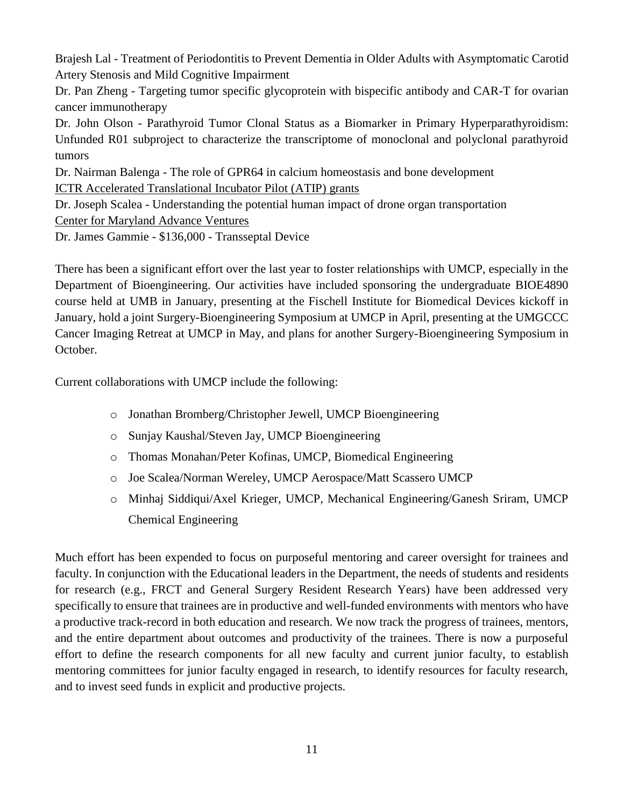Brajesh Lal - Treatment of Periodontitis to Prevent Dementia in Older Adults with Asymptomatic Carotid Artery Stenosis and Mild Cognitive Impairment

Dr. Pan Zheng - Targeting tumor specific glycoprotein with bispecific antibody and CAR-T for ovarian cancer immunotherapy

Dr. John Olson - Parathyroid Tumor Clonal Status as a Biomarker in Primary Hyperparathyroidism: Unfunded R01 subproject to characterize the transcriptome of monoclonal and polyclonal parathyroid tumors

Dr. Nairman Balenga - The role of GPR64 in calcium homeostasis and bone development

ICTR Accelerated Translational Incubator Pilot (ATIP) grants

Dr. Joseph Scalea - Understanding the potential human impact of drone organ transportation

Center for Maryland Advance Ventures

Dr. James Gammie - \$136,000 - Transseptal Device

There has been a significant effort over the last year to foster relationships with UMCP, especially in the Department of Bioengineering. Our activities have included sponsoring the undergraduate BIOE4890 course held at UMB in January, presenting at the Fischell Institute for Biomedical Devices kickoff in January, hold a joint Surgery-Bioengineering Symposium at UMCP in April, presenting at the UMGCCC Cancer Imaging Retreat at UMCP in May, and plans for another Surgery-Bioengineering Symposium in October.

Current collaborations with UMCP include the following:

- o Jonathan Bromberg/Christopher Jewell, UMCP Bioengineering
- o Sunjay Kaushal/Steven Jay, UMCP Bioengineering
- o Thomas Monahan/Peter Kofinas, UMCP, Biomedical Engineering
- o Joe Scalea/Norman Wereley, UMCP Aerospace/Matt Scassero UMCP
- o Minhaj Siddiqui/Axel Krieger, UMCP, Mechanical Engineering/Ganesh Sriram, UMCP Chemical Engineering

Much effort has been expended to focus on purposeful mentoring and career oversight for trainees and faculty. In conjunction with the Educational leaders in the Department, the needs of students and residents for research (e.g., FRCT and General Surgery Resident Research Years) have been addressed very specifically to ensure that trainees are in productive and well-funded environments with mentors who have a productive track-record in both education and research. We now track the progress of trainees, mentors, and the entire department about outcomes and productivity of the trainees. There is now a purposeful effort to define the research components for all new faculty and current junior faculty, to establish mentoring committees for junior faculty engaged in research, to identify resources for faculty research, and to invest seed funds in explicit and productive projects.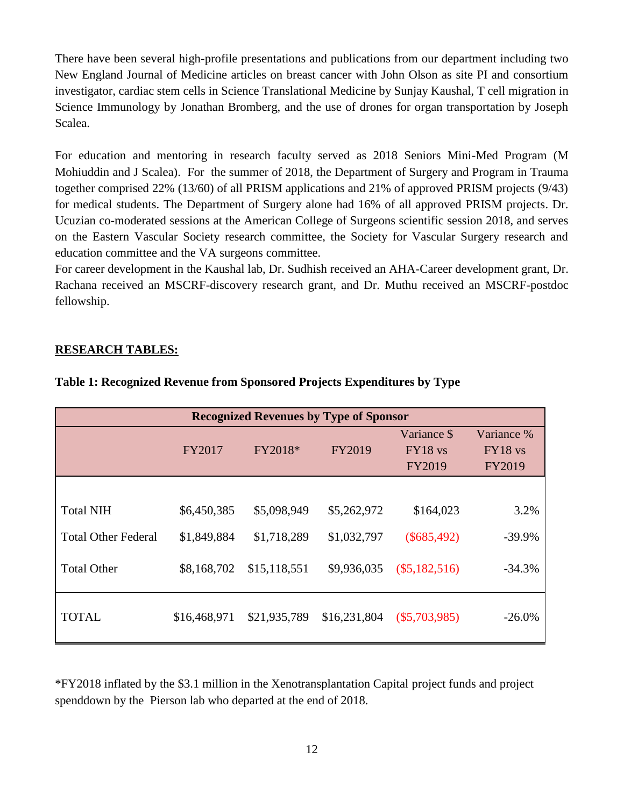There have been several high-profile presentations and publications from our department including two New England Journal of Medicine articles on breast cancer with John Olson as site PI and consortium investigator, cardiac stem cells in Science Translational Medicine by Sunjay Kaushal, T cell migration in Science Immunology by Jonathan Bromberg, and the use of drones for organ transportation by Joseph Scalea.

For education and mentoring in research faculty served as 2018 Seniors Mini-Med Program (M Mohiuddin and J Scalea). For the summer of 2018, the Department of Surgery and Program in Trauma together comprised 22% (13/60) of all PRISM applications and 21% of approved PRISM projects (9/43) for medical students. The Department of Surgery alone had 16% of all approved PRISM projects. Dr. Ucuzian co-moderated sessions at the American College of Surgeons scientific session 2018, and serves on the Eastern Vascular Society research committee, the Society for Vascular Surgery research and education committee and the VA surgeons committee.

For career development in the Kaushal lab, Dr. Sudhish received an AHA-Career development grant, Dr. Rachana received an MSCRF-discovery research grant, and Dr. Muthu received an MSCRF-postdoc fellowship.

#### **RESEARCH TABLES:**

| <b>Recognized Revenues by Type of Sponsor</b> |              |              |              |                                           |                                          |
|-----------------------------------------------|--------------|--------------|--------------|-------------------------------------------|------------------------------------------|
|                                               | FY2017       | FY2018*      | FY2019       | Variance \$<br>$FY18$ vs<br><b>FY2019</b> | Variance %<br>$FY18$ vs<br><b>FY2019</b> |
|                                               |              |              |              |                                           |                                          |
| <b>Total NIH</b>                              | \$6,450,385  | \$5,098,949  | \$5,262,972  | \$164,023                                 | 3.2%                                     |
| <b>Total Other Federal</b>                    | \$1,849,884  | \$1,718,289  | \$1,032,797  | $(\$685,492)$                             | $-39.9%$                                 |
| <b>Total Other</b>                            | \$8,168,702  | \$15,118,551 | \$9,936,035  | $(\$5,182,516)$                           | $-34.3%$                                 |
| <b>TOTAL</b>                                  | \$16,468,971 | \$21,935,789 | \$16,231,804 | $(\$5,703,985)$                           | $-26.0%$                                 |

#### **Table 1: Recognized Revenue from Sponsored Projects Expenditures by Type**

\*FY2018 inflated by the \$3.1 million in the Xenotransplantation Capital project funds and project spenddown by the Pierson lab who departed at the end of 2018.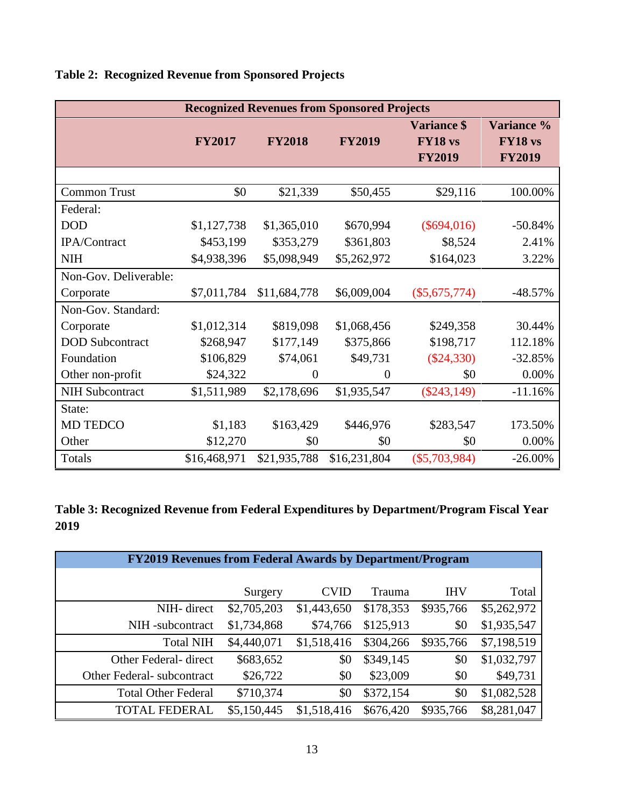| <b>Recognized Revenues from Sponsored Projects</b> |               |                |                |                                                |                                        |
|----------------------------------------------------|---------------|----------------|----------------|------------------------------------------------|----------------------------------------|
|                                                    | <b>FY2017</b> | <b>FY2018</b>  | <b>FY2019</b>  | <b>Variance \$</b><br>FY18 vs<br><b>FY2019</b> | Variance %<br>FY18 vs<br><b>FY2019</b> |
|                                                    |               |                |                |                                                |                                        |
| <b>Common Trust</b>                                | \$0           | \$21,339       | \$50,455       | \$29,116                                       | 100.00%                                |
| Federal:                                           |               |                |                |                                                |                                        |
| <b>DOD</b>                                         | \$1,127,738   | \$1,365,010    | \$670,994      | $(\$694,016)$                                  | $-50.84%$                              |
| IPA/Contract                                       | \$453,199     | \$353,279      | \$361,803      | \$8,524                                        | 2.41%                                  |
| <b>NIH</b>                                         | \$4,938,396   | \$5,098,949    | \$5,262,972    | \$164,023                                      | 3.22%                                  |
| Non-Gov. Deliverable:                              |               |                |                |                                                |                                        |
| Corporate                                          | \$7,011,784   | \$11,684,778   | \$6,009,004    | $(\$5,675,774)$                                | $-48.57%$                              |
| Non-Gov. Standard:                                 |               |                |                |                                                |                                        |
| Corporate                                          | \$1,012,314   | \$819,098      | \$1,068,456    | \$249,358                                      | 30.44%                                 |
| <b>DOD</b> Subcontract                             | \$268,947     | \$177,149      | \$375,866      | \$198,717                                      | 112.18%                                |
| Foundation                                         | \$106,829     | \$74,061       | \$49,731       | $(\$24,330)$                                   | $-32.85%$                              |
| Other non-profit                                   | \$24,322      | $\overline{0}$ | $\overline{0}$ | \$0                                            | $0.00\%$                               |
| <b>NIH Subcontract</b>                             | \$1,511,989   | \$2,178,696    | \$1,935,547    | $(\$243,149)$                                  | $-11.16%$                              |
| State:                                             |               |                |                |                                                |                                        |
| <b>MD TEDCO</b>                                    | \$1,183       | \$163,429      | \$446,976      | \$283,547                                      | 173.50%                                |
| Other                                              | \$12,270      | \$0            | \$0            | \$0                                            | 0.00%                                  |
| Totals                                             | \$16,468,971  | \$21,935,788   | \$16,231,804   | $(\$5,703,984)$                                | $-26.00\%$                             |

# **Table 2: Recognized Revenue from Sponsored Projects**

**Table 3: Recognized Revenue from Federal Expenditures by Department/Program Fiscal Year 2019**

| <b>FY2019 Revenues from Federal Awards by Department/Program</b> |             |             |           |            |             |
|------------------------------------------------------------------|-------------|-------------|-----------|------------|-------------|
|                                                                  |             |             |           |            |             |
|                                                                  | Surgery     | <b>CVID</b> | Trauma    | <b>IHV</b> | Total       |
| NIH- direct                                                      | \$2,705,203 | \$1,443,650 | \$178,353 | \$935,766  | \$5,262,972 |
| NIH-subcontract                                                  | \$1,734,868 | \$74,766    | \$125,913 | \$0        | \$1,935,547 |
| <b>Total NIH</b>                                                 | \$4,440,071 | \$1,518,416 | \$304,266 | \$935,766  | \$7,198,519 |
| Other Federal- direct                                            | \$683,652   | \$0         | \$349,145 | \$0        | \$1,032,797 |
| Other Federal - subcontract                                      | \$26,722    | \$0         | \$23,009  | \$0        | \$49,731    |
| <b>Total Other Federal</b>                                       | \$710,374   | \$0         | \$372,154 | \$0        | \$1,082,528 |
| <b>TOTAL FEDERAL</b>                                             | \$5,150,445 | \$1,518,416 | \$676,420 | \$935,766  | \$8,281,047 |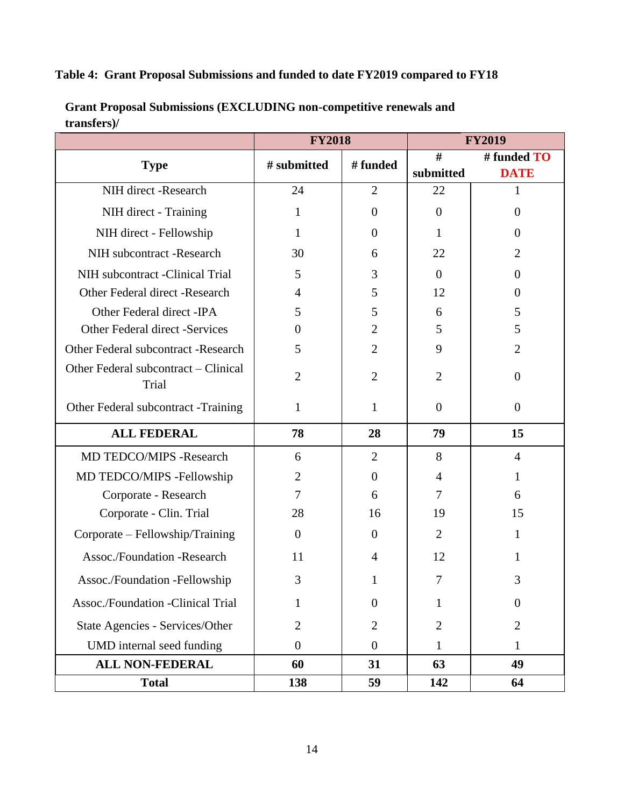# **Table 4: Grant Proposal Submissions and funded to date FY2019 compared to FY18**

|                                               | <b>FY2018</b>  |                | <b>FY2019</b>    |                            |  |
|-----------------------------------------------|----------------|----------------|------------------|----------------------------|--|
| <b>Type</b>                                   | # submitted    | # funded       | #<br>submitted   | # funded TO<br><b>DATE</b> |  |
| NIH direct -Research                          | 24             | $\overline{2}$ | 22               | 1                          |  |
| NIH direct - Training                         | 1              | $\overline{0}$ | $\boldsymbol{0}$ | $\overline{0}$             |  |
| NIH direct - Fellowship                       | 1              | $\theta$       | 1                | $\theta$                   |  |
| NIH subcontract -Research                     | 30             | 6              | 22               | $\overline{2}$             |  |
| NIH subcontract -Clinical Trial               | 5              | 3              | $\overline{0}$   | $\Omega$                   |  |
| Other Federal direct -Research                | $\overline{4}$ | 5              | 12               | $\Omega$                   |  |
| Other Federal direct - IPA                    | 5              | 5              | 6                | 5                          |  |
| Other Federal direct -Services                | $\Omega$       | $\overline{2}$ | 5                | 5                          |  |
| Other Federal subcontract -Research           | 5              | $\overline{2}$ | 9                | $\overline{2}$             |  |
| Other Federal subcontract – Clinical<br>Trial | $\overline{2}$ | $\overline{2}$ | $\overline{2}$   | $\overline{0}$             |  |
| Other Federal subcontract -Training           | $\mathbf{1}$   | $\mathbf{1}$   | $\boldsymbol{0}$ | $\overline{0}$             |  |
| <b>ALL FEDERAL</b>                            | 78             | 28             | 79               | 15                         |  |
| MD TEDCO/MIPS -Research                       | 6              | $\overline{2}$ | 8                | $\overline{4}$             |  |
| MD TEDCO/MIPS -Fellowship                     | $\overline{2}$ | $\overline{0}$ | 4                | 1                          |  |
| Corporate - Research                          | $\overline{7}$ | 6              | 7                | 6                          |  |
| Corporate - Clin. Trial                       | 28             | 16             | 19               | 15                         |  |
| Corporate – Fellowship/Training               | $\theta$       | $\Omega$       | $\overline{2}$   | 1                          |  |
| Assoc./Foundation -Research                   | 11             | 4              | 12               | 1                          |  |
| Assoc./Foundation -Fellowship                 | 3              |                | 7                |                            |  |
| Assoc./Foundation -Clinical Trial             | 1              | $\overline{0}$ | 1                | $\theta$                   |  |
| State Agencies - Services/Other               | $\overline{2}$ | $\overline{2}$ | $\overline{2}$   | $\overline{2}$             |  |
| UMD internal seed funding                     | $\overline{0}$ | $\theta$       | $\mathbf{1}$     | 1                          |  |
| <b>ALL NON-FEDERAL</b>                        | 60             | 31             | 63               | 49                         |  |
| <b>Total</b>                                  | 138            | 59             | 142              | 64                         |  |

**Grant Proposal Submissions (EXCLUDING non-competitive renewals and transfers)/**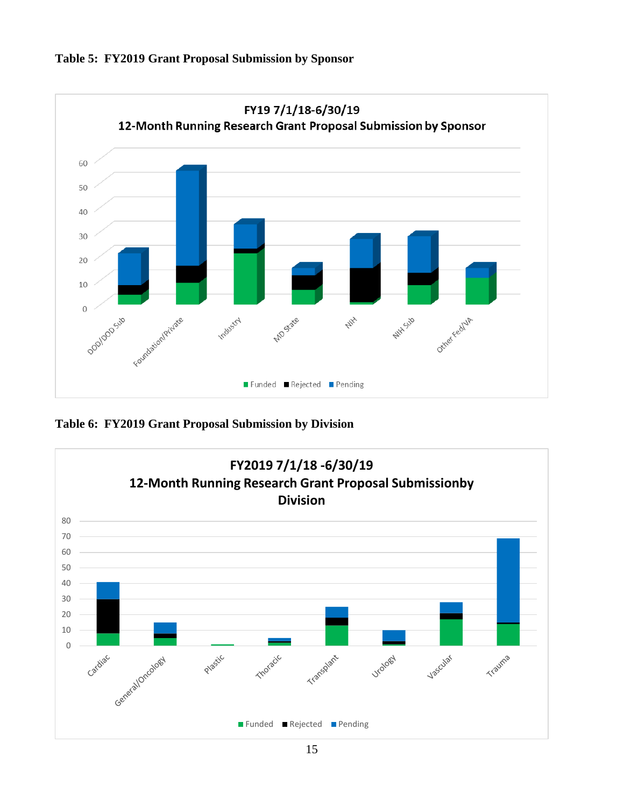



**Table 6: FY2019 Grant Proposal Submission by Division**

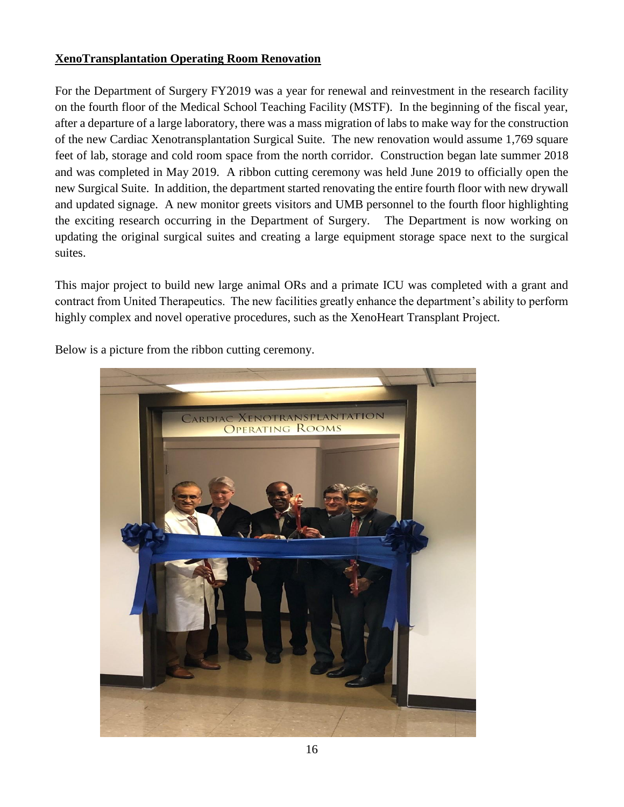### **XenoTransplantation Operating Room Renovation**

For the Department of Surgery FY2019 was a year for renewal and reinvestment in the research facility on the fourth floor of the Medical School Teaching Facility (MSTF). In the beginning of the fiscal year, after a departure of a large laboratory, there was a mass migration of labs to make way for the construction of the new Cardiac Xenotransplantation Surgical Suite. The new renovation would assume 1,769 square feet of lab, storage and cold room space from the north corridor. Construction began late summer 2018 and was completed in May 2019. A ribbon cutting ceremony was held June 2019 to officially open the new Surgical Suite. In addition, the department started renovating the entire fourth floor with new drywall and updated signage. A new monitor greets visitors and UMB personnel to the fourth floor highlighting the exciting research occurring in the Department of Surgery. The Department is now working on updating the original surgical suites and creating a large equipment storage space next to the surgical suites.

This major project to build new large animal ORs and a primate ICU was completed with a grant and contract from United Therapeutics. The new facilities greatly enhance the department's ability to perform highly complex and novel operative procedures, such as the XenoHeart Transplant Project.



Below is a picture from the ribbon cutting ceremony.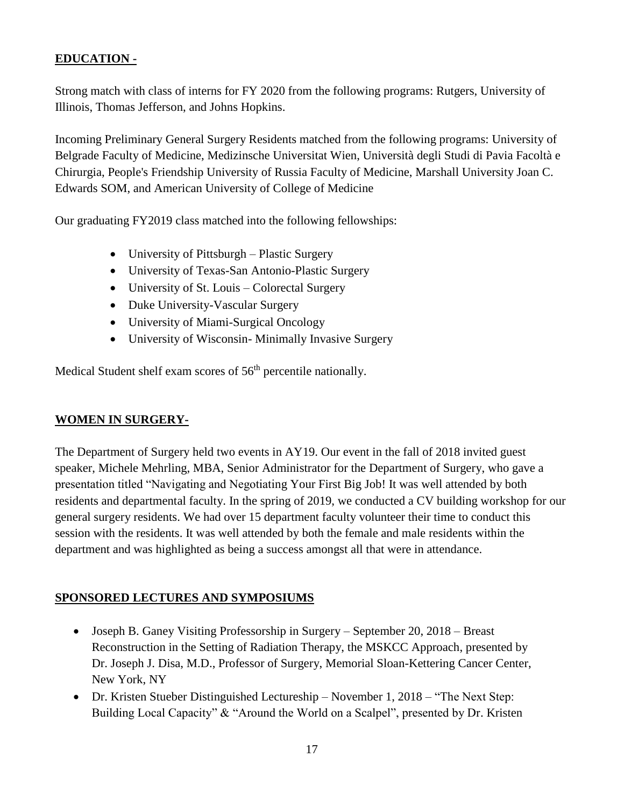# **EDUCATION -**

Strong match with class of interns for FY 2020 from the following programs: Rutgers, University of Illinois, Thomas Jefferson, and Johns Hopkins.

Incoming Preliminary General Surgery Residents matched from the following programs: University of Belgrade Faculty of Medicine, Medizinsche Universitat Wien, Università degli Studi di Pavia Facoltà e Chirurgia, People's Friendship University of Russia Faculty of Medicine, Marshall University Joan C. Edwards SOM, and American University of College of Medicine

Our graduating FY2019 class matched into the following fellowships:

- University of Pittsburgh Plastic Surgery
- University of Texas-San Antonio-Plastic Surgery
- University of St. Louis Colorectal Surgery
- Duke University-Vascular Surgery
- University of Miami-Surgical Oncology
- University of Wisconsin- Minimally Invasive Surgery

Medical Student shelf exam scores of 56<sup>th</sup> percentile nationally.

### **WOMEN IN SURGERY-**

The Department of Surgery held two events in AY19. Our event in the fall of 2018 invited guest speaker, Michele Mehrling, MBA, Senior Administrator for the Department of Surgery, who gave a presentation titled "Navigating and Negotiating Your First Big Job! It was well attended by both residents and departmental faculty. In the spring of 2019, we conducted a CV building workshop for our general surgery residents. We had over 15 department faculty volunteer their time to conduct this session with the residents. It was well attended by both the female and male residents within the department and was highlighted as being a success amongst all that were in attendance.

### **SPONSORED LECTURES AND SYMPOSIUMS**

- Joseph B. Ganey Visiting Professorship in Surgery September 20, 2018 Breast Reconstruction in the Setting of Radiation Therapy, the MSKCC Approach, presented by Dr. Joseph J. Disa, M.D., Professor of Surgery, Memorial Sloan-Kettering Cancer Center, New York, NY
- Dr. Kristen Stueber Distinguished Lectureship November 1, 2018 "The Next Step: Building Local Capacity" & "Around the World on a Scalpel", presented by Dr. Kristen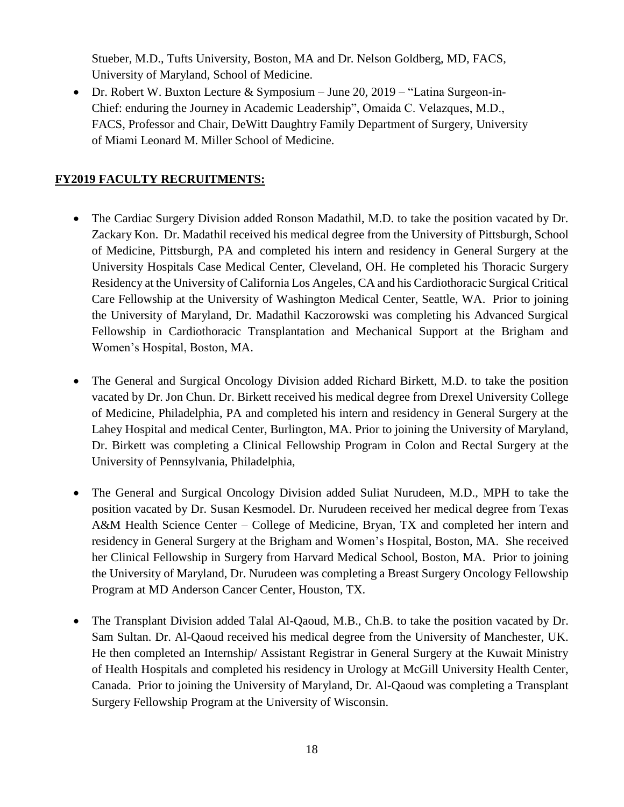Stueber, M.D., Tufts University, Boston, MA and Dr. Nelson Goldberg, MD, FACS, University of Maryland, School of Medicine.

• Dr. Robert W. Buxton Lecture & Symposium – June 20, 2019 – "Latina Surgeon-in-Chief: enduring the Journey in Academic Leadership", Omaida C. Velazques, M.D., FACS, Professor and Chair, DeWitt Daughtry Family Department of Surgery, University of Miami Leonard M. Miller School of Medicine.

### **FY2019 FACULTY RECRUITMENTS:**

- The Cardiac Surgery Division added Ronson Madathil, M.D. to take the position vacated by Dr. Zackary Kon. Dr. Madathil received his medical degree from the University of Pittsburgh, School of Medicine, Pittsburgh, PA and completed his intern and residency in General Surgery at the University Hospitals Case Medical Center, Cleveland, OH. He completed his Thoracic Surgery Residency at the University of California Los Angeles, CA and his Cardiothoracic Surgical Critical Care Fellowship at the University of Washington Medical Center, Seattle, WA. Prior to joining the University of Maryland, Dr. Madathil Kaczorowski was completing his Advanced Surgical Fellowship in Cardiothoracic Transplantation and Mechanical Support at the Brigham and Women's Hospital, Boston, MA.
- The General and Surgical Oncology Division added Richard Birkett, M.D. to take the position vacated by Dr. Jon Chun. Dr. Birkett received his medical degree from Drexel University College of Medicine, Philadelphia, PA and completed his intern and residency in General Surgery at the Lahey Hospital and medical Center, Burlington, MA. Prior to joining the University of Maryland, Dr. Birkett was completing a Clinical Fellowship Program in Colon and Rectal Surgery at the University of Pennsylvania, Philadelphia,
- The General and Surgical Oncology Division added Suliat Nurudeen, M.D., MPH to take the position vacated by Dr. Susan Kesmodel. Dr. Nurudeen received her medical degree from Texas A&M Health Science Center – College of Medicine, Bryan, TX and completed her intern and residency in General Surgery at the Brigham and Women's Hospital, Boston, MA. She received her Clinical Fellowship in Surgery from Harvard Medical School, Boston, MA. Prior to joining the University of Maryland, Dr. Nurudeen was completing a Breast Surgery Oncology Fellowship Program at MD Anderson Cancer Center, Houston, TX.
- The Transplant Division added Talal Al-Qaoud, M.B., Ch.B. to take the position vacated by Dr. Sam Sultan. Dr. Al-Qaoud received his medical degree from the University of Manchester, UK. He then completed an Internship/ Assistant Registrar in General Surgery at the Kuwait Ministry of Health Hospitals and completed his residency in Urology at McGill University Health Center, Canada. Prior to joining the University of Maryland, Dr. Al-Qaoud was completing a Transplant Surgery Fellowship Program at the University of Wisconsin.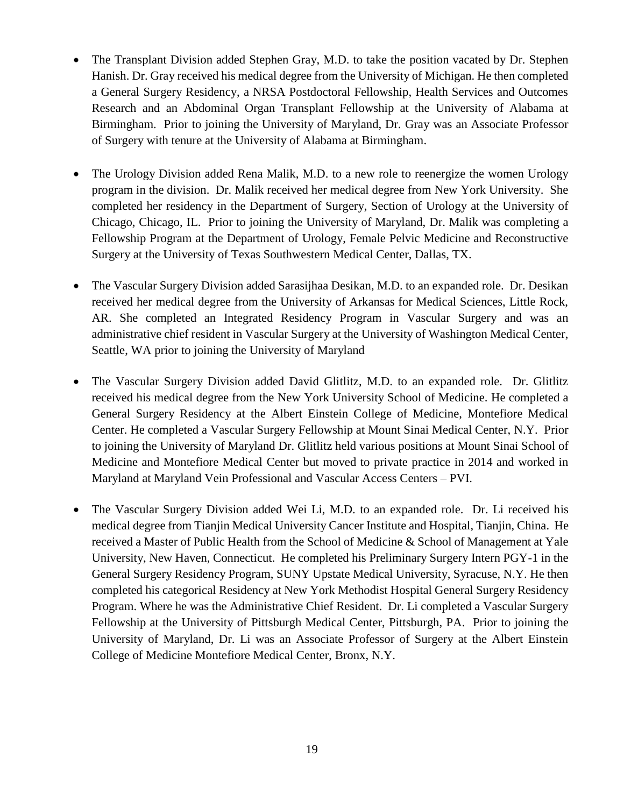- The Transplant Division added Stephen Gray, M.D. to take the position vacated by Dr. Stephen Hanish. Dr. Gray received his medical degree from the University of Michigan. He then completed a General Surgery Residency, a NRSA Postdoctoral Fellowship, Health Services and Outcomes Research and an Abdominal Organ Transplant Fellowship at the University of Alabama at Birmingham. Prior to joining the University of Maryland, Dr. Gray was an Associate Professor of Surgery with tenure at the University of Alabama at Birmingham.
- The Urology Division added Rena Malik, M.D. to a new role to reenergize the women Urology program in the division. Dr. Malik received her medical degree from New York University. She completed her residency in the Department of Surgery, Section of Urology at the University of Chicago, Chicago, IL. Prior to joining the University of Maryland, Dr. Malik was completing a Fellowship Program at the Department of Urology, Female Pelvic Medicine and Reconstructive Surgery at the University of Texas Southwestern Medical Center, Dallas, TX.
- The Vascular Surgery Division added Sarasijhaa Desikan, M.D. to an expanded role. Dr. Desikan received her medical degree from the University of Arkansas for Medical Sciences, Little Rock, AR. She completed an Integrated Residency Program in Vascular Surgery and was an administrative chief resident in Vascular Surgery at the University of Washington Medical Center, Seattle, WA prior to joining the University of Maryland
- The Vascular Surgery Division added David Glitlitz, M.D. to an expanded role. Dr. Glitlitz received his medical degree from the New York University School of Medicine. He completed a General Surgery Residency at the Albert Einstein College of Medicine, Montefiore Medical Center. He completed a Vascular Surgery Fellowship at Mount Sinai Medical Center, N.Y. Prior to joining the University of Maryland Dr. Glitlitz held various positions at Mount Sinai School of Medicine and Montefiore Medical Center but moved to private practice in 2014 and worked in Maryland at Maryland Vein Professional and Vascular Access Centers – PVI.
- The Vascular Surgery Division added Wei Li, M.D. to an expanded role. Dr. Li received his medical degree from Tianjin Medical University Cancer Institute and Hospital, Tianjin, China. He received a Master of Public Health from the School of Medicine & School of Management at Yale University, New Haven, Connecticut. He completed his Preliminary Surgery Intern PGY-1 in the General Surgery Residency Program, SUNY Upstate Medical University, Syracuse, N.Y. He then completed his categorical Residency at New York Methodist Hospital General Surgery Residency Program. Where he was the Administrative Chief Resident. Dr. Li completed a Vascular Surgery Fellowship at the University of Pittsburgh Medical Center, Pittsburgh, PA. Prior to joining the University of Maryland, Dr. Li was an Associate Professor of Surgery at the Albert Einstein College of Medicine Montefiore Medical Center, Bronx, N.Y.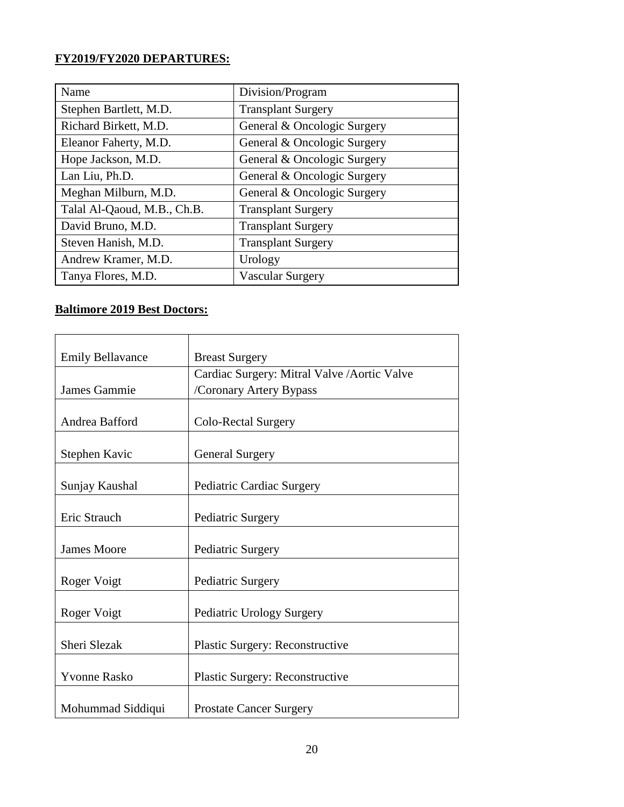# **FY2019/FY2020 DEPARTURES:**

| Name                        | Division/Program            |
|-----------------------------|-----------------------------|
| Stephen Bartlett, M.D.      | <b>Transplant Surgery</b>   |
| Richard Birkett, M.D.       | General & Oncologic Surgery |
| Eleanor Faherty, M.D.       | General & Oncologic Surgery |
| Hope Jackson, M.D.          | General & Oncologic Surgery |
| Lan Liu, Ph.D.              | General & Oncologic Surgery |
| Meghan Milburn, M.D.        | General & Oncologic Surgery |
| Talal Al-Qaoud, M.B., Ch.B. | <b>Transplant Surgery</b>   |
| David Bruno, M.D.           | <b>Transplant Surgery</b>   |
| Steven Hanish, M.D.         | <b>Transplant Surgery</b>   |
| Andrew Kramer, M.D.         | Urology                     |
| Tanya Flores, M.D.          | Vascular Surgery            |

### **Baltimore 2019 Best Doctors:**

| <b>Emily Bellavance</b> | <b>Breast Surgery</b>                        |
|-------------------------|----------------------------------------------|
|                         | Cardiac Surgery: Mitral Valve / Aortic Valve |
| James Gammie            | /Coronary Artery Bypass                      |
|                         |                                              |
| Andrea Bafford          | Colo-Rectal Surgery                          |
|                         |                                              |
| Stephen Kavic           | <b>General Surgery</b>                       |
|                         |                                              |
| Sunjay Kaushal          | Pediatric Cardiac Surgery                    |
|                         |                                              |
| Eric Strauch            | Pediatric Surgery                            |
|                         |                                              |
| <b>James Moore</b>      | Pediatric Surgery                            |
|                         |                                              |
| Roger Voigt             | Pediatric Surgery                            |
|                         |                                              |
| Roger Voigt             | Pediatric Urology Surgery                    |
|                         |                                              |
| Sheri Slezak            | <b>Plastic Surgery: Reconstructive</b>       |
|                         |                                              |
| <b>Yvonne Rasko</b>     | <b>Plastic Surgery: Reconstructive</b>       |
|                         |                                              |
| Mohummad Siddiqui       | <b>Prostate Cancer Surgery</b>               |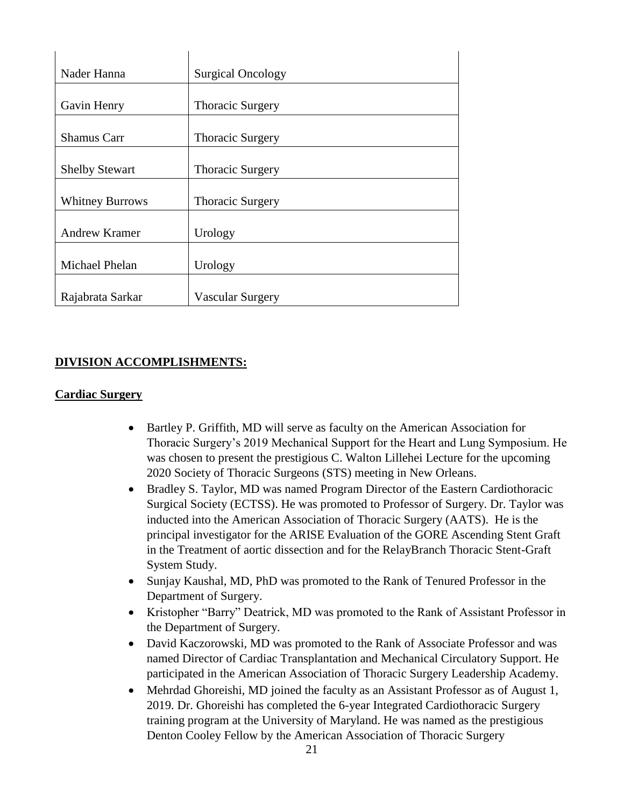| Nader Hanna            | <b>Surgical Oncology</b> |
|------------------------|--------------------------|
| Gavin Henry            |                          |
|                        | <b>Thoracic Surgery</b>  |
| <b>Shamus Carr</b>     | <b>Thoracic Surgery</b>  |
| <b>Shelby Stewart</b>  | <b>Thoracic Surgery</b>  |
| <b>Whitney Burrows</b> | <b>Thoracic Surgery</b>  |
| <b>Andrew Kramer</b>   | Urology                  |
| Michael Phelan         | Urology                  |
| Rajabrata Sarkar       | Vascular Surgery         |

### **DIVISION ACCOMPLISHMENTS:**

#### **Cardiac Surgery**

- Bartley P. Griffith, MD will serve as faculty on the American Association for Thoracic Surgery's 2019 Mechanical Support for the Heart and Lung Symposium. He was chosen to present the prestigious C. Walton Lillehei Lecture for the upcoming 2020 Society of Thoracic Surgeons (STS) meeting in New Orleans.
- Bradley S. Taylor, MD was named Program Director of the Eastern Cardiothoracic Surgical Society (ECTSS). He was promoted to Professor of Surgery. Dr. Taylor was inducted into the American Association of Thoracic Surgery (AATS). He is the principal investigator for the ARISE Evaluation of the GORE Ascending Stent Graft in the Treatment of aortic dissection and for the RelayBranch Thoracic Stent-Graft System Study.
- Sunjay Kaushal, MD, PhD was promoted to the Rank of Tenured Professor in the Department of Surgery.
- Kristopher "Barry" Deatrick, MD was promoted to the Rank of Assistant Professor in the Department of Surgery.
- David Kaczorowski, MD was promoted to the Rank of Associate Professor and was named Director of Cardiac Transplantation and Mechanical Circulatory Support. He participated in the American Association of Thoracic Surgery Leadership Academy.
- Mehrdad Ghoreishi, MD joined the faculty as an Assistant Professor as of August 1, 2019. Dr. Ghoreishi has completed the 6-year Integrated Cardiothoracic Surgery training program at the University of Maryland. He was named as the prestigious Denton Cooley Fellow by the American Association of Thoracic Surgery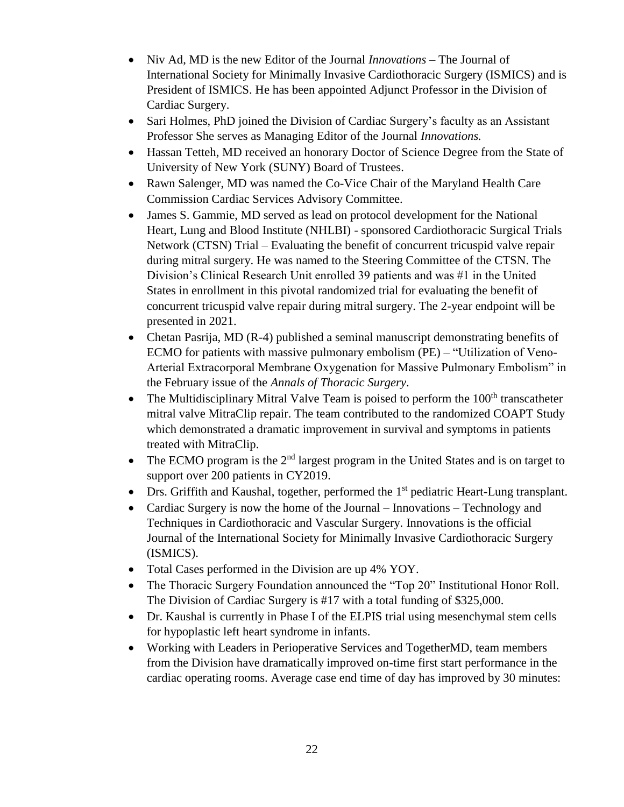- Niv Ad, MD is the new Editor of the Journal *Innovations* The Journal of International Society for Minimally Invasive Cardiothoracic Surgery (ISMICS) and is President of ISMICS. He has been appointed Adjunct Professor in the Division of Cardiac Surgery.
- Sari Holmes, PhD joined the Division of Cardiac Surgery's faculty as an Assistant Professor She serves as Managing Editor of the Journal *Innovations.*
- Hassan Tetteh, MD received an honorary Doctor of Science Degree from the State of University of New York (SUNY) Board of Trustees.
- Rawn Salenger, MD was named the Co-Vice Chair of the Maryland Health Care Commission Cardiac Services Advisory Committee.
- James S. Gammie, MD served as lead on protocol development for the National Heart, Lung and Blood Institute (NHLBI) - sponsored Cardiothoracic Surgical Trials Network (CTSN) Trial – Evaluating the benefit of concurrent tricuspid valve repair during mitral surgery. He was named to the Steering Committee of the CTSN. The Division's Clinical Research Unit enrolled 39 patients and was #1 in the United States in enrollment in this pivotal randomized trial for evaluating the benefit of concurrent tricuspid valve repair during mitral surgery. The 2-year endpoint will be presented in 2021.
- Chetan Pasrija, MD (R-4) published a seminal manuscript demonstrating benefits of ECMO for patients with massive pulmonary embolism (PE) – "Utilization of Veno-Arterial Extracorporal Membrane Oxygenation for Massive Pulmonary Embolism" in the February issue of the *Annals of Thoracic Surgery*.
- The Multidisciplinary Mitral Valve Team is poised to perform the  $100<sup>th</sup>$  transcatheter mitral valve MitraClip repair. The team contributed to the randomized COAPT Study which demonstrated a dramatic improvement in survival and symptoms in patients treated with MitraClip.
- The ECMO program is the  $2<sup>nd</sup>$  largest program in the United States and is on target to support over 200 patients in CY2019.
- Drs. Griffith and Kaushal, together, performed the 1<sup>st</sup> pediatric Heart-Lung transplant.
- Cardiac Surgery is now the home of the Journal Innovations Technology and Techniques in Cardiothoracic and Vascular Surgery. Innovations is the official Journal of the International Society for Minimally Invasive Cardiothoracic Surgery (ISMICS).
- Total Cases performed in the Division are up 4% YOY.
- The Thoracic Surgery Foundation announced the "Top 20" Institutional Honor Roll. The Division of Cardiac Surgery is #17 with a total funding of \$325,000.
- Dr. Kaushal is currently in Phase I of the ELPIS trial using mesenchymal stem cells for hypoplastic left heart syndrome in infants.
- Working with Leaders in Perioperative Services and TogetherMD, team members from the Division have dramatically improved on-time first start performance in the cardiac operating rooms. Average case end time of day has improved by 30 minutes: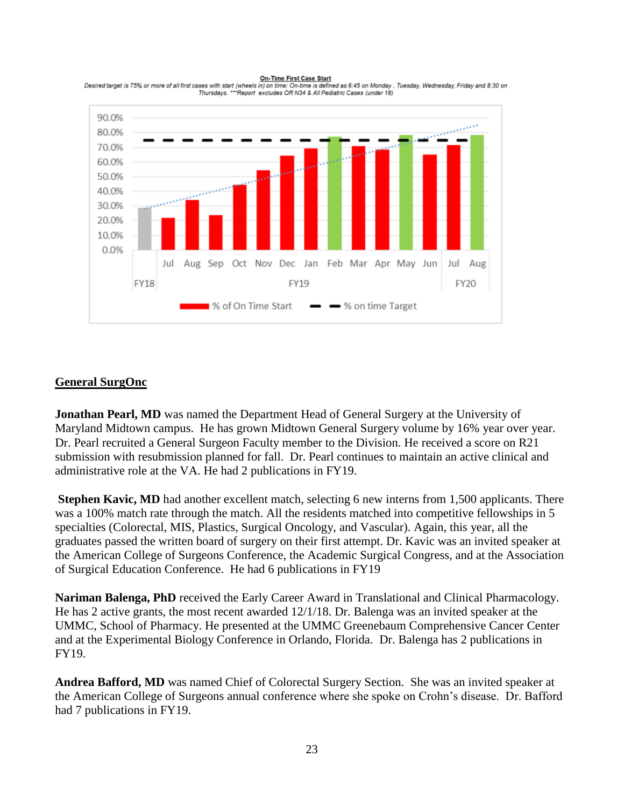**On-Time First Case Start** 



Desired target is 75% or more of all first cases with start (wheels in) on time; On-time is defined as 6:45 on Monday , Tuesday, Wednesday, Friday and 8:30 on<br>Thursdays, \*\*\*Report excludes OR N34 & All Pediatric Cases (und

### **General SurgOnc**

**Jonathan Pearl, MD** was named the Department Head of General Surgery at the University of Maryland Midtown campus. He has grown Midtown General Surgery volume by 16% year over year. Dr. Pearl recruited a General Surgeon Faculty member to the Division. He received a score on R21 submission with resubmission planned for fall. Dr. Pearl continues to maintain an active clinical and administrative role at the VA. He had 2 publications in FY19.

**Stephen Kavic, MD** had another excellent match, selecting 6 new interns from 1,500 applicants. There was a 100% match rate through the match. All the residents matched into competitive fellowships in 5 specialties (Colorectal, MIS, Plastics, Surgical Oncology, and Vascular). Again, this year, all the graduates passed the written board of surgery on their first attempt. Dr. Kavic was an invited speaker at the American College of Surgeons Conference, the Academic Surgical Congress, and at the Association of Surgical Education Conference. He had 6 publications in FY19

**Nariman Balenga, PhD** received the Early Career Award in Translational and Clinical Pharmacology. He has 2 active grants, the most recent awarded 12/1/18. Dr. Balenga was an invited speaker at the UMMC, School of Pharmacy. He presented at the UMMC Greenebaum Comprehensive Cancer Center and at the Experimental Biology Conference in Orlando, Florida. Dr. Balenga has 2 publications in FY19.

**Andrea Bafford, MD** was named Chief of Colorectal Surgery Section. She was an invited speaker at the American College of Surgeons annual conference where she spoke on Crohn's disease. Dr. Bafford had 7 publications in FY19.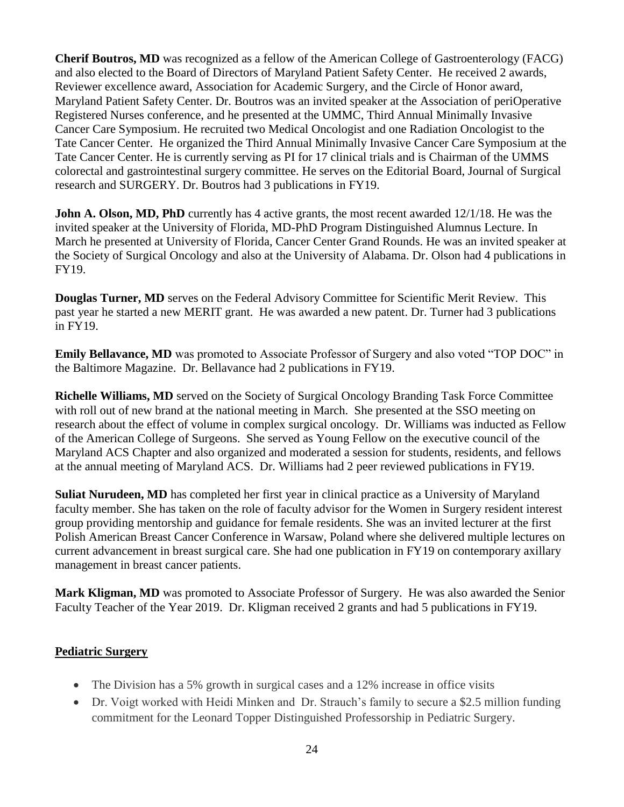**Cherif Boutros, MD** was recognized as a fellow of the American College of Gastroenterology (FACG) and also elected to the Board of Directors of Maryland Patient Safety Center. He received 2 awards, Reviewer excellence award, Association for Academic Surgery, and the Circle of Honor award, Maryland Patient Safety Center. Dr. Boutros was an invited speaker at the Association of periOperative Registered Nurses conference, and he presented at the UMMC, Third Annual Minimally Invasive Cancer Care Symposium. He recruited two Medical Oncologist and one Radiation Oncologist to the Tate Cancer Center. He organized the Third Annual Minimally Invasive Cancer Care Symposium at the Tate Cancer Center. He is currently serving as PI for 17 clinical trials and is Chairman of the UMMS colorectal and gastrointestinal surgery committee. He serves on the Editorial Board, Journal of Surgical research and SURGERY. Dr. Boutros had 3 publications in FY19.

**John A. Olson, MD, PhD** currently has 4 active grants, the most recent awarded 12/1/18. He was the invited speaker at the University of Florida, MD-PhD Program Distinguished Alumnus Lecture. In March he presented at University of Florida, Cancer Center Grand Rounds. He was an invited speaker at the Society of Surgical Oncology and also at the University of Alabama. Dr. Olson had 4 publications in FY19.

**Douglas Turner, MD** serves on the Federal Advisory Committee for Scientific Merit Review. This past year he started a new MERIT grant. He was awarded a new patent. Dr. Turner had 3 publications in FY19.

**Emily Bellavance, MD** was promoted to Associate Professor of Surgery and also voted "TOP DOC" in the Baltimore Magazine. Dr. Bellavance had 2 publications in FY19.

**Richelle Williams, MD** served on the Society of Surgical Oncology Branding Task Force Committee with roll out of new brand at the national meeting in March. She presented at the SSO meeting on research about the effect of volume in complex surgical oncology. Dr. Williams was inducted as Fellow of the American College of Surgeons. She served as Young Fellow on the executive council of the Maryland ACS Chapter and also organized and moderated a session for students, residents, and fellows at the annual meeting of Maryland ACS. Dr. Williams had 2 peer reviewed publications in FY19.

**Suliat Nurudeen, MD** has completed her first year in clinical practice as a University of Maryland faculty member. She has taken on the role of faculty advisor for the Women in Surgery resident interest group providing mentorship and guidance for female residents. She was an invited lecturer at the first Polish American Breast Cancer Conference in Warsaw, Poland where she delivered multiple lectures on current advancement in breast surgical care. She had one publication in FY19 on contemporary axillary management in breast cancer patients.

**Mark Kligman, MD** was promoted to Associate Professor of Surgery. He was also awarded the Senior Faculty Teacher of the Year 2019. Dr. Kligman received 2 grants and had 5 publications in FY19.

### **Pediatric Surgery**

- The Division has a 5% growth in surgical cases and a 12% increase in office visits
- Dr. Voigt worked with Heidi Minken and Dr. Strauch's family to secure a \$2.5 million funding commitment for the Leonard Topper Distinguished Professorship in Pediatric Surgery.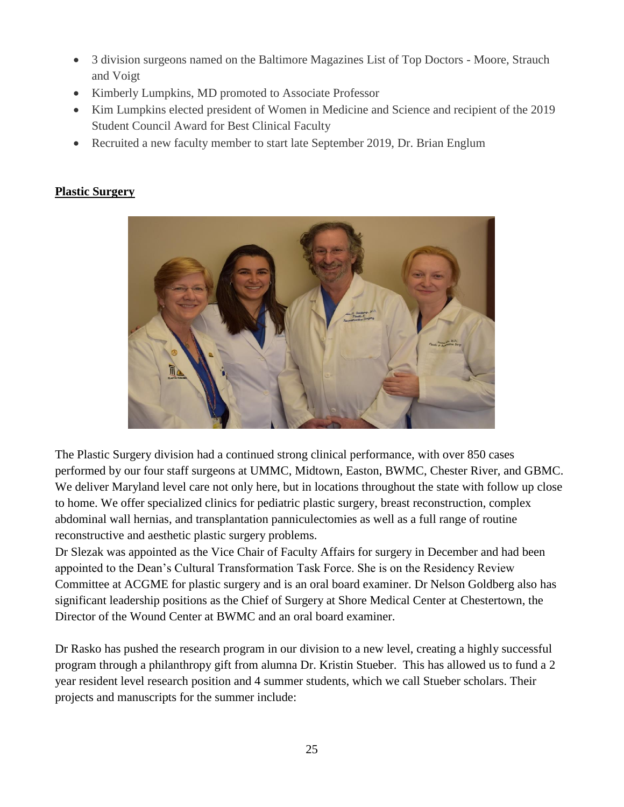- 3 division surgeons named on the Baltimore Magazines List of Top Doctors Moore, Strauch and Voigt
- Kimberly Lumpkins, MD promoted to Associate Professor
- Kim Lumpkins elected president of Women in Medicine and Science and recipient of the 2019 Student Council Award for Best Clinical Faculty
- Recruited a new faculty member to start late September 2019, Dr. Brian Englum

# **Plastic Surgery**



The Plastic Surgery division had a continued strong clinical performance, with over 850 cases performed by our four staff surgeons at UMMC, Midtown, Easton, BWMC, Chester River, and GBMC. We deliver Maryland level care not only here, but in locations throughout the state with follow up close to home. We offer specialized clinics for pediatric plastic surgery, breast reconstruction, complex abdominal wall hernias, and transplantation panniculectomies as well as a full range of routine reconstructive and aesthetic plastic surgery problems.

Dr Slezak was appointed as the Vice Chair of Faculty Affairs for surgery in December and had been appointed to the Dean's Cultural Transformation Task Force. She is on the Residency Review Committee at ACGME for plastic surgery and is an oral board examiner. Dr Nelson Goldberg also has significant leadership positions as the Chief of Surgery at Shore Medical Center at Chestertown, the Director of the Wound Center at BWMC and an oral board examiner.

Dr Rasko has pushed the research program in our division to a new level, creating a highly successful program through a philanthropy gift from alumna Dr. Kristin Stueber. This has allowed us to fund a 2 year resident level research position and 4 summer students, which we call Stueber scholars. Their projects and manuscripts for the summer include: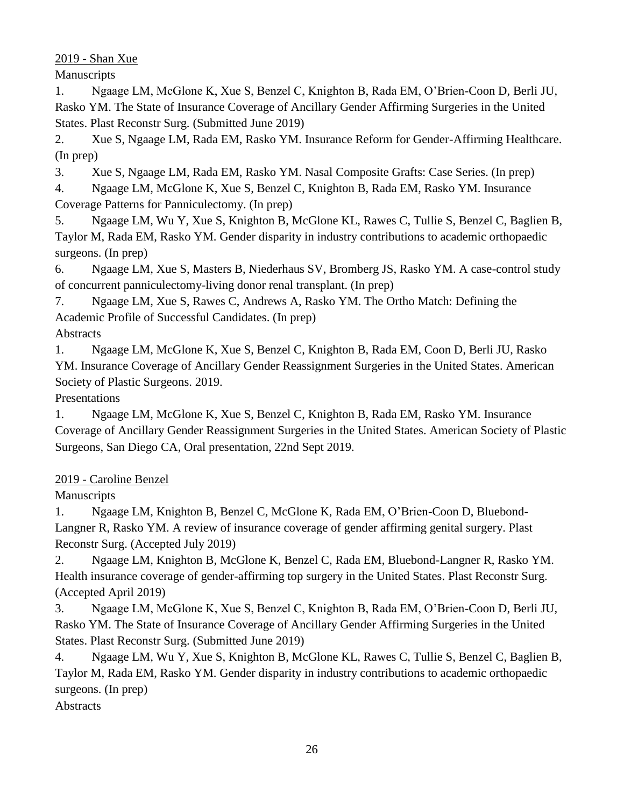### 2019 - Shan Xue

Manuscripts

1. Ngaage LM, McGlone K, Xue S, Benzel C, Knighton B, Rada EM, O'Brien-Coon D, Berli JU, Rasko YM. The State of Insurance Coverage of Ancillary Gender Affirming Surgeries in the United States. Plast Reconstr Surg. (Submitted June 2019)

2. Xue S, Ngaage LM, Rada EM, Rasko YM. Insurance Reform for Gender-Affirming Healthcare. (In prep)

3. Xue S, Ngaage LM, Rada EM, Rasko YM. Nasal Composite Grafts: Case Series. (In prep)

4. Ngaage LM, McGlone K, Xue S, Benzel C, Knighton B, Rada EM, Rasko YM. Insurance Coverage Patterns for Panniculectomy. (In prep)

5. Ngaage LM, Wu Y, Xue S, Knighton B, McGlone KL, Rawes C, Tullie S, Benzel C, Baglien B, Taylor M, Rada EM, Rasko YM. Gender disparity in industry contributions to academic orthopaedic surgeons. (In prep)

6. Ngaage LM, Xue S, Masters B, Niederhaus SV, Bromberg JS, Rasko YM. A case-control study of concurrent panniculectomy-living donor renal transplant. (In prep)

7. Ngaage LM, Xue S, Rawes C, Andrews A, Rasko YM. The Ortho Match: Defining the Academic Profile of Successful Candidates. (In prep)

**Abstracts** 

1. Ngaage LM, McGlone K, Xue S, Benzel C, Knighton B, Rada EM, Coon D, Berli JU, Rasko YM. Insurance Coverage of Ancillary Gender Reassignment Surgeries in the United States. American Society of Plastic Surgeons. 2019.

Presentations

1. Ngaage LM, McGlone K, Xue S, Benzel C, Knighton B, Rada EM, Rasko YM. Insurance Coverage of Ancillary Gender Reassignment Surgeries in the United States. American Society of Plastic Surgeons, San Diego CA, Oral presentation, 22nd Sept 2019.

### 2019 - Caroline Benzel

Manuscripts

1. Ngaage LM, Knighton B, Benzel C, McGlone K, Rada EM, O'Brien-Coon D, Bluebond-Langner R, Rasko YM. A review of insurance coverage of gender affirming genital surgery. Plast Reconstr Surg. (Accepted July 2019)

2. Ngaage LM, Knighton B, McGlone K, Benzel C, Rada EM, Bluebond-Langner R, Rasko YM. Health insurance coverage of gender-affirming top surgery in the United States. Plast Reconstr Surg. (Accepted April 2019)

3. Ngaage LM, McGlone K, Xue S, Benzel C, Knighton B, Rada EM, O'Brien-Coon D, Berli JU, Rasko YM. The State of Insurance Coverage of Ancillary Gender Affirming Surgeries in the United States. Plast Reconstr Surg. (Submitted June 2019)

4. Ngaage LM, Wu Y, Xue S, Knighton B, McGlone KL, Rawes C, Tullie S, Benzel C, Baglien B, Taylor M, Rada EM, Rasko YM. Gender disparity in industry contributions to academic orthopaedic surgeons. (In prep)

Abstracts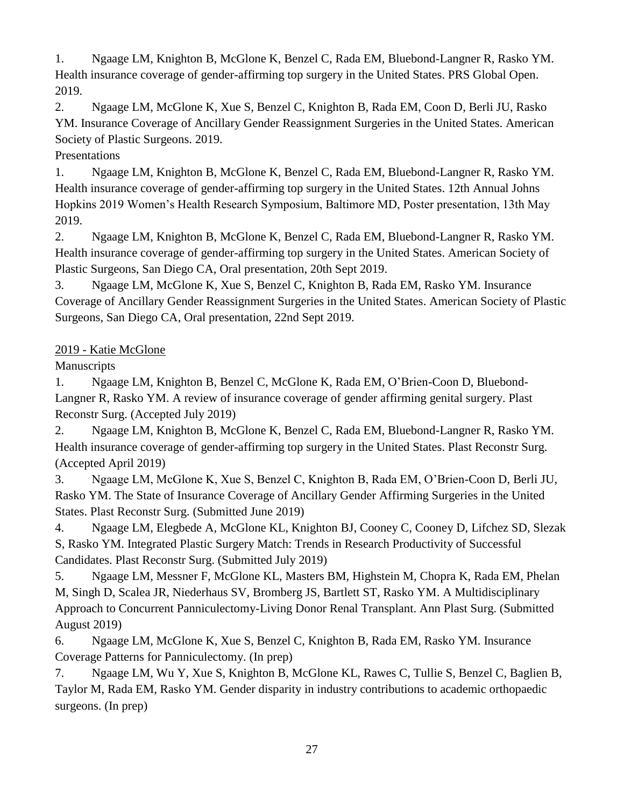1. Ngaage LM, Knighton B, McGlone K, Benzel C, Rada EM, Bluebond-Langner R, Rasko YM. Health insurance coverage of gender-affirming top surgery in the United States. PRS Global Open. 2019.

2. Ngaage LM, McGlone K, Xue S, Benzel C, Knighton B, Rada EM, Coon D, Berli JU, Rasko YM. Insurance Coverage of Ancillary Gender Reassignment Surgeries in the United States. American Society of Plastic Surgeons. 2019.

### Presentations

1. Ngaage LM, Knighton B, McGlone K, Benzel C, Rada EM, Bluebond-Langner R, Rasko YM. Health insurance coverage of gender-affirming top surgery in the United States. 12th Annual Johns Hopkins 2019 Women's Health Research Symposium, Baltimore MD, Poster presentation, 13th May 2019.

2. Ngaage LM, Knighton B, McGlone K, Benzel C, Rada EM, Bluebond-Langner R, Rasko YM. Health insurance coverage of gender-affirming top surgery in the United States. American Society of Plastic Surgeons, San Diego CA, Oral presentation, 20th Sept 2019.

3. Ngaage LM, McGlone K, Xue S, Benzel C, Knighton B, Rada EM, Rasko YM. Insurance Coverage of Ancillary Gender Reassignment Surgeries in the United States. American Society of Plastic Surgeons, San Diego CA, Oral presentation, 22nd Sept 2019.

### 2019 - Katie McGlone

**Manuscripts** 

1. Ngaage LM, Knighton B, Benzel C, McGlone K, Rada EM, O'Brien-Coon D, Bluebond-Langner R, Rasko YM. A review of insurance coverage of gender affirming genital surgery. Plast Reconstr Surg. (Accepted July 2019)

2. Ngaage LM, Knighton B, McGlone K, Benzel C, Rada EM, Bluebond-Langner R, Rasko YM. Health insurance coverage of gender-affirming top surgery in the United States. Plast Reconstr Surg. (Accepted April 2019)

3. Ngaage LM, McGlone K, Xue S, Benzel C, Knighton B, Rada EM, O'Brien-Coon D, Berli JU, Rasko YM. The State of Insurance Coverage of Ancillary Gender Affirming Surgeries in the United States. Plast Reconstr Surg. (Submitted June 2019)

4. Ngaage LM, Elegbede A, McGlone KL, Knighton BJ, Cooney C, Cooney D, Lifchez SD, Slezak S, Rasko YM. Integrated Plastic Surgery Match: Trends in Research Productivity of Successful Candidates. Plast Reconstr Surg. (Submitted July 2019)

5. Ngaage LM, Messner F, McGlone KL, Masters BM, Highstein M, Chopra K, Rada EM, Phelan M, Singh D, Scalea JR, Niederhaus SV, Bromberg JS, Bartlett ST, Rasko YM. A Multidisciplinary Approach to Concurrent Panniculectomy-Living Donor Renal Transplant. Ann Plast Surg. (Submitted August 2019)

6. Ngaage LM, McGlone K, Xue S, Benzel C, Knighton B, Rada EM, Rasko YM. Insurance Coverage Patterns for Panniculectomy. (In prep)

7. Ngaage LM, Wu Y, Xue S, Knighton B, McGlone KL, Rawes C, Tullie S, Benzel C, Baglien B, Taylor M, Rada EM, Rasko YM. Gender disparity in industry contributions to academic orthopaedic surgeons. (In prep)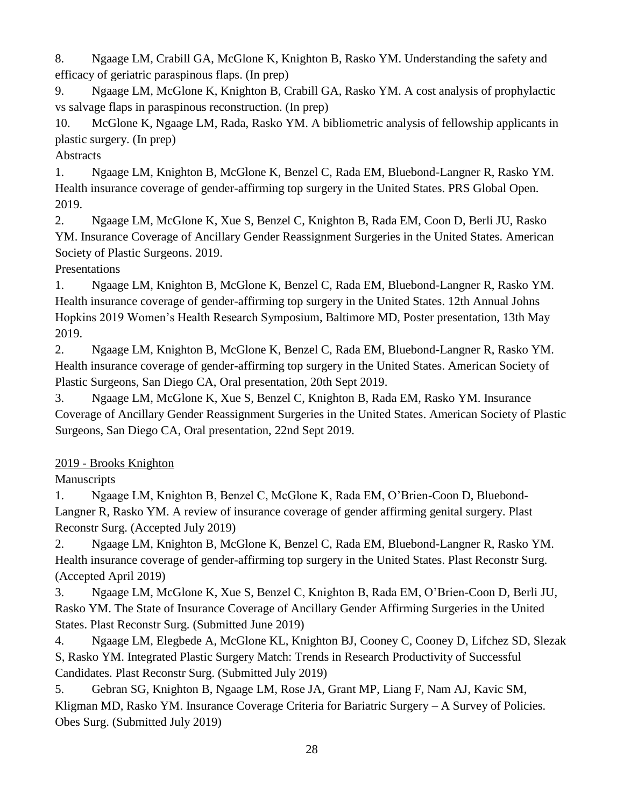8. Ngaage LM, Crabill GA, McGlone K, Knighton B, Rasko YM. Understanding the safety and efficacy of geriatric paraspinous flaps. (In prep)

9. Ngaage LM, McGlone K, Knighton B, Crabill GA, Rasko YM. A cost analysis of prophylactic vs salvage flaps in paraspinous reconstruction. (In prep)

10. McGlone K, Ngaage LM, Rada, Rasko YM. A bibliometric analysis of fellowship applicants in plastic surgery. (In prep)

**Abstracts** 

1. Ngaage LM, Knighton B, McGlone K, Benzel C, Rada EM, Bluebond-Langner R, Rasko YM. Health insurance coverage of gender-affirming top surgery in the United States. PRS Global Open. 2019.

2. Ngaage LM, McGlone K, Xue S, Benzel C, Knighton B, Rada EM, Coon D, Berli JU, Rasko YM. Insurance Coverage of Ancillary Gender Reassignment Surgeries in the United States. American Society of Plastic Surgeons. 2019.

Presentations

1. Ngaage LM, Knighton B, McGlone K, Benzel C, Rada EM, Bluebond-Langner R, Rasko YM. Health insurance coverage of gender-affirming top surgery in the United States. 12th Annual Johns Hopkins 2019 Women's Health Research Symposium, Baltimore MD, Poster presentation, 13th May 2019.

2. Ngaage LM, Knighton B, McGlone K, Benzel C, Rada EM, Bluebond-Langner R, Rasko YM. Health insurance coverage of gender-affirming top surgery in the United States. American Society of Plastic Surgeons, San Diego CA, Oral presentation, 20th Sept 2019.

3. Ngaage LM, McGlone K, Xue S, Benzel C, Knighton B, Rada EM, Rasko YM. Insurance Coverage of Ancillary Gender Reassignment Surgeries in the United States. American Society of Plastic Surgeons, San Diego CA, Oral presentation, 22nd Sept 2019.

2019 - Brooks Knighton

**Manuscripts** 

1. Ngaage LM, Knighton B, Benzel C, McGlone K, Rada EM, O'Brien-Coon D, Bluebond-Langner R, Rasko YM. A review of insurance coverage of gender affirming genital surgery. Plast Reconstr Surg. (Accepted July 2019)

2. Ngaage LM, Knighton B, McGlone K, Benzel C, Rada EM, Bluebond-Langner R, Rasko YM. Health insurance coverage of gender-affirming top surgery in the United States. Plast Reconstr Surg. (Accepted April 2019)

3. Ngaage LM, McGlone K, Xue S, Benzel C, Knighton B, Rada EM, O'Brien-Coon D, Berli JU, Rasko YM. The State of Insurance Coverage of Ancillary Gender Affirming Surgeries in the United States. Plast Reconstr Surg. (Submitted June 2019)

4. Ngaage LM, Elegbede A, McGlone KL, Knighton BJ, Cooney C, Cooney D, Lifchez SD, Slezak S, Rasko YM. Integrated Plastic Surgery Match: Trends in Research Productivity of Successful Candidates. Plast Reconstr Surg. (Submitted July 2019)

5. Gebran SG, Knighton B, Ngaage LM, Rose JA, Grant MP, Liang F, Nam AJ, Kavic SM, Kligman MD, Rasko YM. Insurance Coverage Criteria for Bariatric Surgery – A Survey of Policies. Obes Surg. (Submitted July 2019)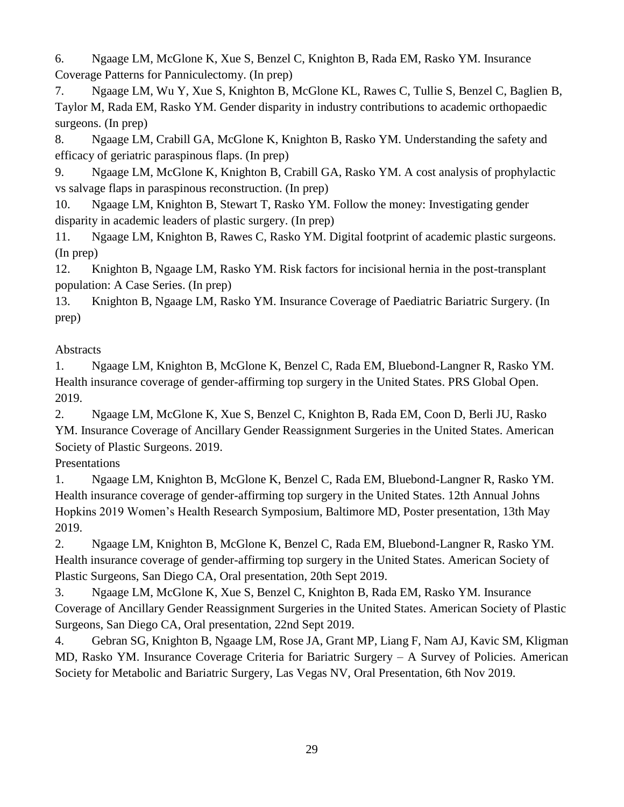6. Ngaage LM, McGlone K, Xue S, Benzel C, Knighton B, Rada EM, Rasko YM. Insurance Coverage Patterns for Panniculectomy. (In prep)

7. Ngaage LM, Wu Y, Xue S, Knighton B, McGlone KL, Rawes C, Tullie S, Benzel C, Baglien B, Taylor M, Rada EM, Rasko YM. Gender disparity in industry contributions to academic orthopaedic surgeons. (In prep)

8. Ngaage LM, Crabill GA, McGlone K, Knighton B, Rasko YM. Understanding the safety and efficacy of geriatric paraspinous flaps. (In prep)

9. Ngaage LM, McGlone K, Knighton B, Crabill GA, Rasko YM. A cost analysis of prophylactic vs salvage flaps in paraspinous reconstruction. (In prep)

10. Ngaage LM, Knighton B, Stewart T, Rasko YM. Follow the money: Investigating gender disparity in academic leaders of plastic surgery. (In prep)

11. Ngaage LM, Knighton B, Rawes C, Rasko YM. Digital footprint of academic plastic surgeons. (In prep)

12. Knighton B, Ngaage LM, Rasko YM. Risk factors for incisional hernia in the post-transplant population: A Case Series. (In prep)

13. Knighton B, Ngaage LM, Rasko YM. Insurance Coverage of Paediatric Bariatric Surgery. (In prep)

# Abstracts

1. Ngaage LM, Knighton B, McGlone K, Benzel C, Rada EM, Bluebond-Langner R, Rasko YM. Health insurance coverage of gender-affirming top surgery in the United States. PRS Global Open. 2019.

2. Ngaage LM, McGlone K, Xue S, Benzel C, Knighton B, Rada EM, Coon D, Berli JU, Rasko YM. Insurance Coverage of Ancillary Gender Reassignment Surgeries in the United States. American Society of Plastic Surgeons. 2019.

Presentations

1. Ngaage LM, Knighton B, McGlone K, Benzel C, Rada EM, Bluebond-Langner R, Rasko YM. Health insurance coverage of gender-affirming top surgery in the United States. 12th Annual Johns Hopkins 2019 Women's Health Research Symposium, Baltimore MD, Poster presentation, 13th May 2019.

2. Ngaage LM, Knighton B, McGlone K, Benzel C, Rada EM, Bluebond-Langner R, Rasko YM. Health insurance coverage of gender-affirming top surgery in the United States. American Society of Plastic Surgeons, San Diego CA, Oral presentation, 20th Sept 2019.

3. Ngaage LM, McGlone K, Xue S, Benzel C, Knighton B, Rada EM, Rasko YM. Insurance Coverage of Ancillary Gender Reassignment Surgeries in the United States. American Society of Plastic Surgeons, San Diego CA, Oral presentation, 22nd Sept 2019.

4. Gebran SG, Knighton B, Ngaage LM, Rose JA, Grant MP, Liang F, Nam AJ, Kavic SM, Kligman MD, Rasko YM. Insurance Coverage Criteria for Bariatric Surgery – A Survey of Policies. American Society for Metabolic and Bariatric Surgery, Las Vegas NV, Oral Presentation, 6th Nov 2019.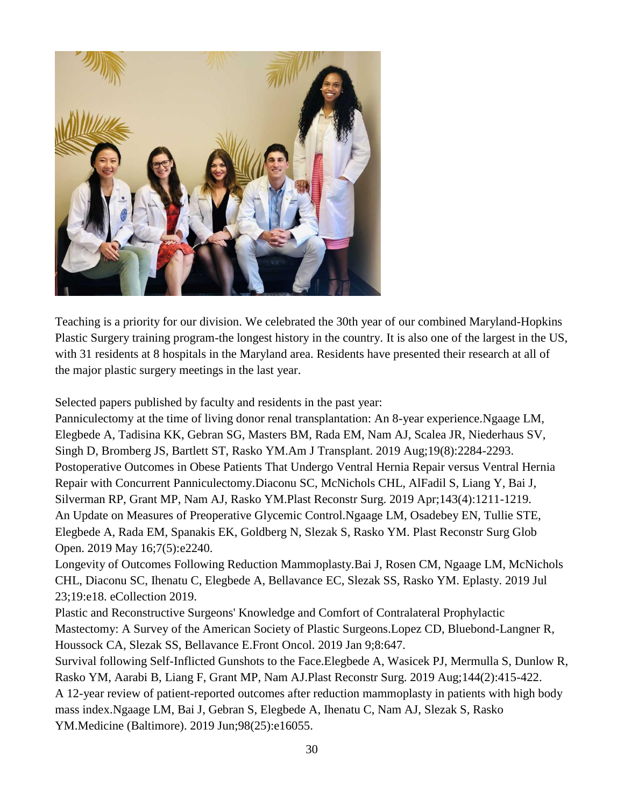

Teaching is a priority for our division. We celebrated the 30th year of our combined Maryland-Hopkins Plastic Surgery training program-the longest history in the country. It is also one of the largest in the US, with 31 residents at 8 hospitals in the Maryland area. Residents have presented their research at all of the major plastic surgery meetings in the last year.

Selected papers published by faculty and residents in the past year:

Panniculectomy at the time of living donor renal transplantation: An 8-year experience.Ngaage LM, Elegbede A, Tadisina KK, Gebran SG, Masters BM, Rada EM, Nam AJ, Scalea JR, Niederhaus SV, Singh D, Bromberg JS, Bartlett ST, Rasko YM.Am J Transplant. 2019 Aug;19(8):2284-2293. Postoperative Outcomes in Obese Patients That Undergo Ventral Hernia Repair versus Ventral Hernia Repair with Concurrent Panniculectomy.Diaconu SC, McNichols CHL, AlFadil S, Liang Y, Bai J, Silverman RP, Grant MP, Nam AJ, Rasko YM.Plast Reconstr Surg. 2019 Apr;143(4):1211-1219. An Update on Measures of Preoperative Glycemic Control.Ngaage LM, Osadebey EN, Tullie STE, Elegbede A, Rada EM, Spanakis EK, Goldberg N, Slezak S, Rasko YM. Plast Reconstr Surg Glob Open. 2019 May 16;7(5):e2240.

Longevity of Outcomes Following Reduction Mammoplasty.Bai J, Rosen CM, Ngaage LM, McNichols CHL, Diaconu SC, Ihenatu C, Elegbede A, Bellavance EC, Slezak SS, Rasko YM. Eplasty. 2019 Jul 23;19:e18. eCollection 2019.

Plastic and Reconstructive Surgeons' Knowledge and Comfort of Contralateral Prophylactic Mastectomy: A Survey of the American Society of Plastic Surgeons.Lopez CD, Bluebond-Langner R, Houssock CA, Slezak SS, Bellavance E.Front Oncol. 2019 Jan 9;8:647.

Survival following Self-Inflicted Gunshots to the Face.Elegbede A, Wasicek PJ, Mermulla S, Dunlow R, Rasko YM, Aarabi B, Liang F, Grant MP, Nam AJ.Plast Reconstr Surg. 2019 Aug;144(2):415-422. A 12-year review of patient-reported outcomes after reduction mammoplasty in patients with high body mass index.Ngaage LM, Bai J, Gebran S, Elegbede A, Ihenatu C, Nam AJ, Slezak S, Rasko YM.Medicine (Baltimore). 2019 Jun;98(25):e16055.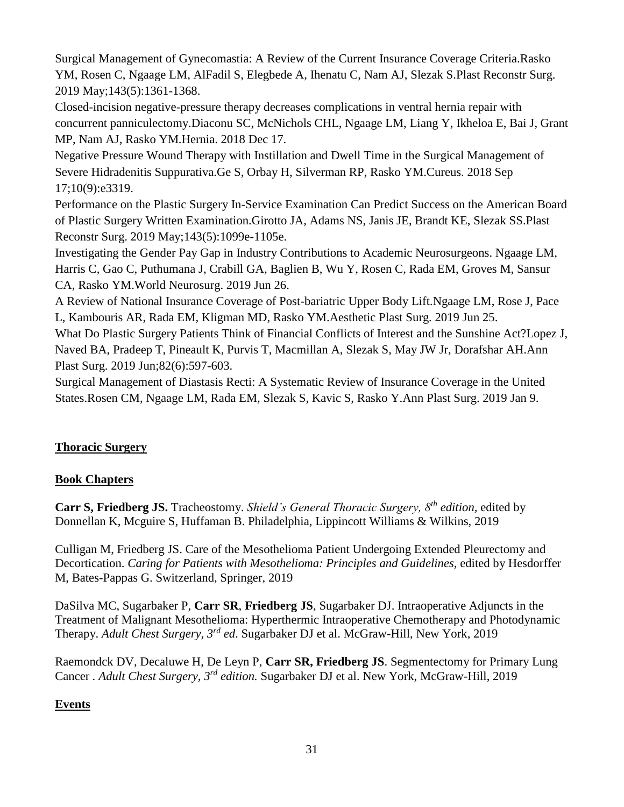Surgical Management of Gynecomastia: A Review of the Current Insurance Coverage Criteria.Rasko YM, Rosen C, Ngaage LM, AlFadil S, Elegbede A, Ihenatu C, Nam AJ, Slezak S.Plast Reconstr Surg. 2019 May;143(5):1361-1368.

Closed-incision negative-pressure therapy decreases complications in ventral hernia repair with concurrent panniculectomy.Diaconu SC, McNichols CHL, Ngaage LM, Liang Y, Ikheloa E, Bai J, Grant MP, Nam AJ, Rasko YM.Hernia. 2018 Dec 17.

Negative Pressure Wound Therapy with Instillation and Dwell Time in the Surgical Management of Severe Hidradenitis Suppurativa.Ge S, Orbay H, Silverman RP, Rasko YM.Cureus. 2018 Sep 17;10(9):e3319.

Performance on the Plastic Surgery In-Service Examination Can Predict Success on the American Board of Plastic Surgery Written Examination.Girotto JA, Adams NS, Janis JE, Brandt KE, Slezak SS.Plast Reconstr Surg. 2019 May;143(5):1099e-1105e.

Investigating the Gender Pay Gap in Industry Contributions to Academic Neurosurgeons. Ngaage LM, Harris C, Gao C, Puthumana J, Crabill GA, Baglien B, Wu Y, Rosen C, Rada EM, Groves M, Sansur CA, Rasko YM.World Neurosurg. 2019 Jun 26.

A Review of National Insurance Coverage of Post-bariatric Upper Body Lift.Ngaage LM, Rose J, Pace L, Kambouris AR, Rada EM, Kligman MD, Rasko YM.Aesthetic Plast Surg. 2019 Jun 25.

What Do Plastic Surgery Patients Think of Financial Conflicts of Interest and the Sunshine Act?Lopez J, Naved BA, Pradeep T, Pineault K, Purvis T, Macmillan A, Slezak S, May JW Jr, Dorafshar AH.Ann Plast Surg. 2019 Jun;82(6):597-603.

Surgical Management of Diastasis Recti: A Systematic Review of Insurance Coverage in the United States.Rosen CM, Ngaage LM, Rada EM, Slezak S, Kavic S, Rasko Y.Ann Plast Surg. 2019 Jan 9.

### **Thoracic Surgery**

### **Book Chapters**

**Carr S, Friedberg JS.** Tracheostomy. *Shield's General Thoracic Surgery, 8th edition,* edited by Donnellan K, Mcguire S, Huffaman B. Philadelphia, Lippincott Williams & Wilkins, 2019

Culligan M, Friedberg JS. Care of the Mesothelioma Patient Undergoing Extended Pleurectomy and Decortication. *Caring for Patients with Mesothelioma: Principles and Guidelines,* edited by Hesdorffer M, Bates-Pappas G. Switzerland, Springer, 2019

DaSilva MC, Sugarbaker P, **Carr SR**, **Friedberg JS**, Sugarbaker DJ. Intraoperative Adjuncts in the Treatment of Malignant Mesothelioma: Hyperthermic Intraoperative Chemotherapy and Photodynamic Therapy. *Adult Chest Surgery, 3rd ed*. Sugarbaker DJ et al. McGraw-Hill, New York, 2019

Raemondck DV, Decaluwe H, De Leyn P, **Carr SR, Friedberg JS**. Segmentectomy for Primary Lung Cancer *. Adult Chest Surgery, 3rd edition.* Sugarbaker DJ et al. New York, McGraw-Hill, 2019

### **Events**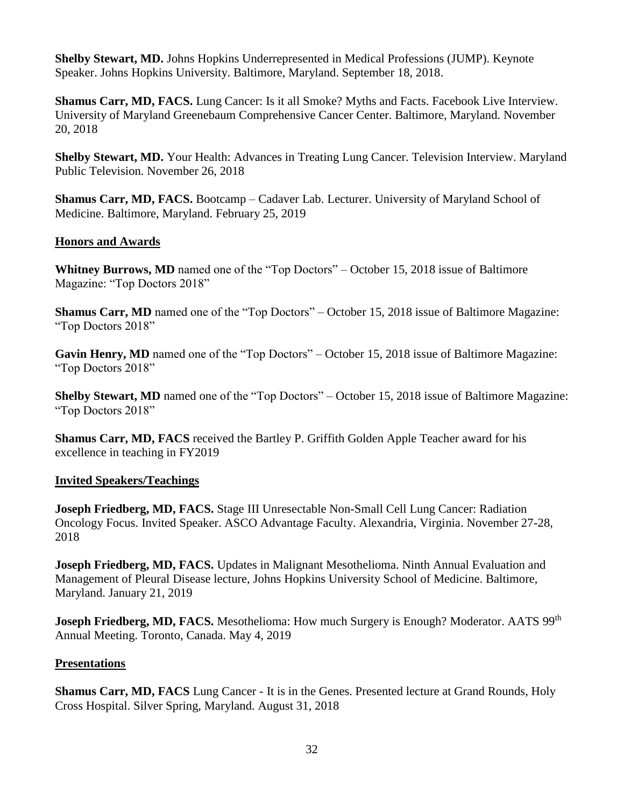**Shelby Stewart, MD.** Johns Hopkins Underrepresented in Medical Professions (JUMP). Keynote Speaker. Johns Hopkins University. Baltimore, Maryland. September 18, 2018.

**Shamus Carr, MD, FACS.** Lung Cancer: Is it all Smoke? Myths and Facts. Facebook Live Interview. University of Maryland Greenebaum Comprehensive Cancer Center. Baltimore, Maryland. November 20, 2018

**Shelby Stewart, MD.** Your Health: Advances in Treating Lung Cancer. Television Interview. Maryland Public Television. November 26, 2018

**Shamus Carr, MD, FACS.** Bootcamp – Cadaver Lab. Lecturer. University of Maryland School of Medicine. Baltimore, Maryland. February 25, 2019

### **Honors and Awards**

**Whitney Burrows, MD** named one of the "Top Doctors" – October 15, 2018 issue of Baltimore Magazine: "Top Doctors 2018"

**Shamus Carr, MD** named one of the "Top Doctors" – October 15, 2018 issue of Baltimore Magazine: "Top Doctors 2018"

**Gavin Henry, MD** named one of the "Top Doctors" – October 15, 2018 issue of Baltimore Magazine: "Top Doctors 2018"

**Shelby Stewart, MD** named one of the "Top Doctors" – October 15, 2018 issue of Baltimore Magazine: "Top Doctors 2018"

**Shamus Carr, MD, FACS** received the Bartley P. Griffith Golden Apple Teacher award for his excellence in teaching in FY2019

#### **Invited Speakers/Teachings**

**Joseph Friedberg, MD, FACS.** Stage III Unresectable Non-Small Cell Lung Cancer: Radiation Oncology Focus. Invited Speaker. ASCO Advantage Faculty. Alexandria, Virginia. November 27-28, 2018

**Joseph Friedberg, MD, FACS.** Updates in Malignant Mesothelioma. Ninth Annual Evaluation and Management of Pleural Disease lecture, Johns Hopkins University School of Medicine. Baltimore, Maryland. January 21, 2019

Joseph Friedberg, MD, FACS. Mesothelioma: How much Surgery is Enough? Moderator. AATS 99<sup>th</sup> Annual Meeting. Toronto, Canada. May 4, 2019

#### **Presentations**

**Shamus Carr, MD, FACS** Lung Cancer - It is in the Genes. Presented lecture at Grand Rounds, Holy Cross Hospital. Silver Spring, Maryland. August 31, 2018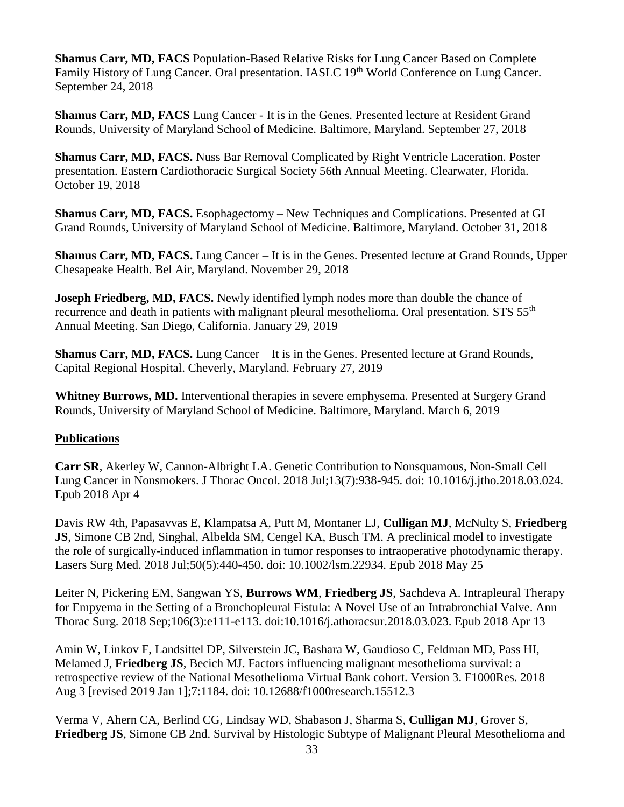**Shamus Carr, MD, FACS** Population-Based Relative Risks for Lung Cancer Based on Complete Family History of Lung Cancer. Oral presentation. IASLC 19<sup>th</sup> World Conference on Lung Cancer. September 24, 2018

**Shamus Carr, MD, FACS** Lung Cancer - It is in the Genes. Presented lecture at Resident Grand Rounds, University of Maryland School of Medicine. Baltimore, Maryland. September 27, 2018

**Shamus Carr, MD, FACS.** Nuss Bar Removal Complicated by Right Ventricle Laceration. Poster presentation. Eastern Cardiothoracic Surgical Society 56th Annual Meeting. Clearwater, Florida. October 19, 2018

**Shamus Carr, MD, FACS.** Esophagectomy – New Techniques and Complications. Presented at GI Grand Rounds, University of Maryland School of Medicine. Baltimore, Maryland. October 31, 2018

**Shamus Carr, MD, FACS.** Lung Cancer – It is in the Genes. Presented lecture at Grand Rounds, Upper Chesapeake Health. Bel Air, Maryland. November 29, 2018

**Joseph Friedberg, MD, FACS.** Newly identified lymph nodes more than double the chance of recurrence and death in patients with malignant pleural mesothelioma. Oral presentation. STS 55<sup>th</sup> Annual Meeting. San Diego, California. January 29, 2019

**Shamus Carr, MD, FACS.** Lung Cancer – It is in the Genes. Presented lecture at Grand Rounds, Capital Regional Hospital. Cheverly, Maryland. February 27, 2019

**Whitney Burrows, MD.** Interventional therapies in severe emphysema. Presented at Surgery Grand Rounds, University of Maryland School of Medicine. Baltimore, Maryland. March 6, 2019

### **Publications**

**Carr SR**, Akerley W, Cannon-Albright LA. Genetic Contribution to Nonsquamous, Non-Small Cell Lung Cancer in Nonsmokers. J Thorac Oncol. 2018 Jul;13(7):938-945. doi: 10.1016/j.jtho.2018.03.024. Epub 2018 Apr 4

Davis RW 4th, Papasavvas E, Klampatsa A, Putt M, Montaner LJ, **Culligan MJ**, McNulty S, **Friedberg JS**, Simone CB 2nd, Singhal, Albelda SM, Cengel KA, Busch TM. A preclinical model to investigate the role of surgically-induced inflammation in tumor responses to intraoperative photodynamic therapy. Lasers Surg Med. 2018 Jul;50(5):440-450. doi: 10.1002/lsm.22934. Epub 2018 May 25

Leiter N, Pickering EM, Sangwan YS, **Burrows WM**, **Friedberg JS**, Sachdeva A. Intrapleural Therapy for Empyema in the Setting of a Bronchopleural Fistula: A Novel Use of an Intrabronchial Valve. Ann Thorac Surg. 2018 Sep;106(3):e111-e113. doi:10.1016/j.athoracsur.2018.03.023. Epub 2018 Apr 13

Amin W, Linkov F, Landsittel DP, Silverstein JC, Bashara W, Gaudioso C, Feldman MD, Pass HI, Melamed J, **Friedberg JS**, Becich MJ. Factors influencing malignant mesothelioma survival: a retrospective review of the National Mesothelioma Virtual Bank cohort. Version 3. F1000Res. 2018 Aug 3 [revised 2019 Jan 1];7:1184. doi: 10.12688/f1000research.15512.3

Verma V, Ahern CA, Berlind CG, Lindsay WD, Shabason J, Sharma S, **Culligan MJ**, Grover S, **Friedberg JS**, Simone CB 2nd. Survival by Histologic Subtype of Malignant Pleural Mesothelioma and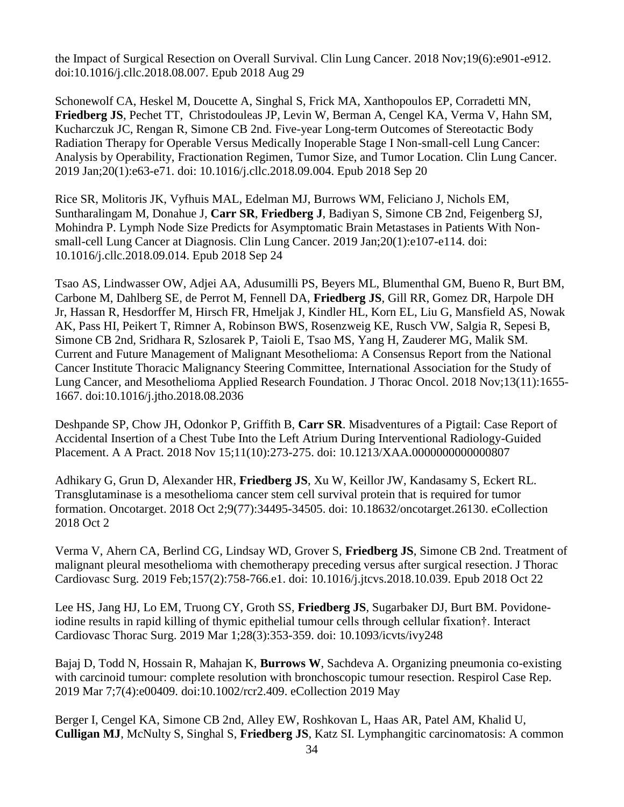the Impact of Surgical Resection on Overall Survival. Clin Lung Cancer. 2018 Nov;19(6):e901-e912. doi:10.1016/j.cllc.2018.08.007. Epub 2018 Aug 29

Schonewolf CA, Heskel M, Doucette A, Singhal S, Frick MA, Xanthopoulos EP, Corradetti MN, **Friedberg JS**, Pechet TT, Christodouleas JP, Levin W, Berman A, Cengel KA, Verma V, Hahn SM, Kucharczuk JC, Rengan R, Simone CB 2nd. Five-year Long-term Outcomes of Stereotactic Body Radiation Therapy for Operable Versus Medically Inoperable Stage I Non-small-cell Lung Cancer: Analysis by Operability, Fractionation Regimen, Tumor Size, and Tumor Location. Clin Lung Cancer. 2019 Jan;20(1):e63-e71. doi: 10.1016/j.cllc.2018.09.004. Epub 2018 Sep 20

Rice SR, Molitoris JK, Vyfhuis MAL, Edelman MJ, Burrows WM, Feliciano J, Nichols EM, Suntharalingam M, Donahue J, **Carr SR**, **Friedberg J**, Badiyan S, Simone CB 2nd, Feigenberg SJ, Mohindra P. Lymph Node Size Predicts for Asymptomatic Brain Metastases in Patients With Nonsmall-cell Lung Cancer at Diagnosis. Clin Lung Cancer. 2019 Jan;20(1):e107-e114. doi: 10.1016/j.cllc.2018.09.014. Epub 2018 Sep 24

Tsao AS, Lindwasser OW, Adjei AA, Adusumilli PS, Beyers ML, Blumenthal GM, Bueno R, Burt BM, Carbone M, Dahlberg SE, de Perrot M, Fennell DA, **Friedberg JS**, Gill RR, Gomez DR, Harpole DH Jr, Hassan R, Hesdorffer M, Hirsch FR, Hmeljak J, Kindler HL, Korn EL, Liu G, Mansfield AS, Nowak AK, Pass HI, Peikert T, Rimner A, Robinson BWS, Rosenzweig KE, Rusch VW, Salgia R, Sepesi B, Simone CB 2nd, Sridhara R, Szlosarek P, Taioli E, Tsao MS, Yang H, Zauderer MG, Malik SM. Current and Future Management of Malignant Mesothelioma: A Consensus Report from the National Cancer Institute Thoracic Malignancy Steering Committee, International Association for the Study of Lung Cancer, and Mesothelioma Applied Research Foundation. J Thorac Oncol. 2018 Nov;13(11):1655- 1667. doi:10.1016/j.jtho.2018.08.2036

Deshpande SP, Chow JH, Odonkor P, Griffith B, **Carr SR**. Misadventures of a Pigtail: Case Report of Accidental Insertion of a Chest Tube Into the Left Atrium During Interventional Radiology-Guided Placement. A A Pract. 2018 Nov 15;11(10):273-275. doi: 10.1213/XAA.0000000000000807

Adhikary G, Grun D, Alexander HR, **Friedberg JS**, Xu W, Keillor JW, Kandasamy S, Eckert RL. Transglutaminase is a mesothelioma cancer stem cell survival protein that is required for tumor formation. Oncotarget. 2018 Oct 2;9(77):34495-34505. doi: 10.18632/oncotarget.26130. eCollection 2018 Oct 2

Verma V, Ahern CA, Berlind CG, Lindsay WD, Grover S, **Friedberg JS**, Simone CB 2nd. Treatment of malignant pleural mesothelioma with chemotherapy preceding versus after surgical resection. J Thorac Cardiovasc Surg. 2019 Feb;157(2):758-766.e1. doi: 10.1016/j.jtcvs.2018.10.039. Epub 2018 Oct 22

Lee HS, Jang HJ, Lo EM, Truong CY, Groth SS, **Friedberg JS**, Sugarbaker DJ, Burt BM. Povidoneiodine results in rapid killing of thymic epithelial tumour cells through cellular fixation†. Interact Cardiovasc Thorac Surg. 2019 Mar 1;28(3):353-359. doi: 10.1093/icvts/ivy248

Bajaj D, Todd N, Hossain R, Mahajan K, **Burrows W**, Sachdeva A. Organizing pneumonia co-existing with carcinoid tumour: complete resolution with bronchoscopic tumour resection. Respirol Case Rep. 2019 Mar 7;7(4):e00409. doi:10.1002/rcr2.409. eCollection 2019 May

Berger I, Cengel KA, Simone CB 2nd, Alley EW, Roshkovan L, Haas AR, Patel AM, Khalid U, **Culligan MJ**, McNulty S, Singhal S, **Friedberg JS**, Katz SI. Lymphangitic carcinomatosis: A common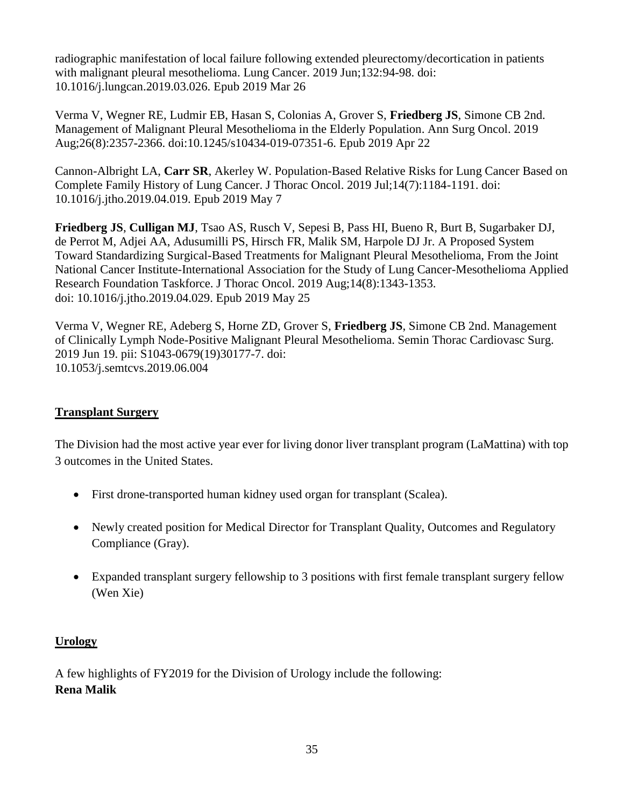radiographic manifestation of local failure following extended pleurectomy/decortication in patients with malignant pleural mesothelioma. Lung Cancer. 2019 Jun;132:94-98. doi: 10.1016/j.lungcan.2019.03.026. Epub 2019 Mar 26

Verma V, Wegner RE, Ludmir EB, Hasan S, Colonias A, Grover S, **Friedberg JS**, Simone CB 2nd. Management of Malignant Pleural Mesothelioma in the Elderly Population. Ann Surg Oncol. 2019 Aug;26(8):2357-2366. doi:10.1245/s10434-019-07351-6. Epub 2019 Apr 22

Cannon-Albright LA, **Carr SR**, Akerley W. Population-Based Relative Risks for Lung Cancer Based on Complete Family History of Lung Cancer. J Thorac Oncol. 2019 Jul;14(7):1184-1191. doi: 10.1016/j.jtho.2019.04.019. Epub 2019 May 7

**Friedberg JS**, **Culligan MJ**, Tsao AS, Rusch V, Sepesi B, Pass HI, Bueno R, Burt B, Sugarbaker DJ, de Perrot M, Adjei AA, Adusumilli PS, Hirsch FR, Malik SM, Harpole DJ Jr. A Proposed System Toward Standardizing Surgical-Based Treatments for Malignant Pleural Mesothelioma, From the Joint National Cancer Institute-International Association for the Study of Lung Cancer-Mesothelioma Applied Research Foundation Taskforce. J Thorac Oncol. 2019 Aug;14(8):1343-1353. doi: 10.1016/j.jtho.2019.04.029. Epub 2019 May 25

Verma V, Wegner RE, Adeberg S, Horne ZD, Grover S, **Friedberg JS**, Simone CB 2nd. Management of Clinically Lymph Node-Positive Malignant Pleural Mesothelioma. Semin Thorac Cardiovasc Surg. 2019 Jun 19. pii: S1043-0679(19)30177-7. doi: 10.1053/j.semtcvs.2019.06.004

### **Transplant Surgery**

The Division had the most active year ever for living donor liver transplant program (LaMattina) with top 3 outcomes in the United States.

- First drone-transported human kidney used organ for transplant (Scalea).
- Newly created position for Medical Director for Transplant Quality, Outcomes and Regulatory Compliance (Gray).
- Expanded transplant surgery fellowship to 3 positions with first female transplant surgery fellow (Wen Xie)

### **Urology**

A few highlights of FY2019 for the Division of Urology include the following: **Rena Malik**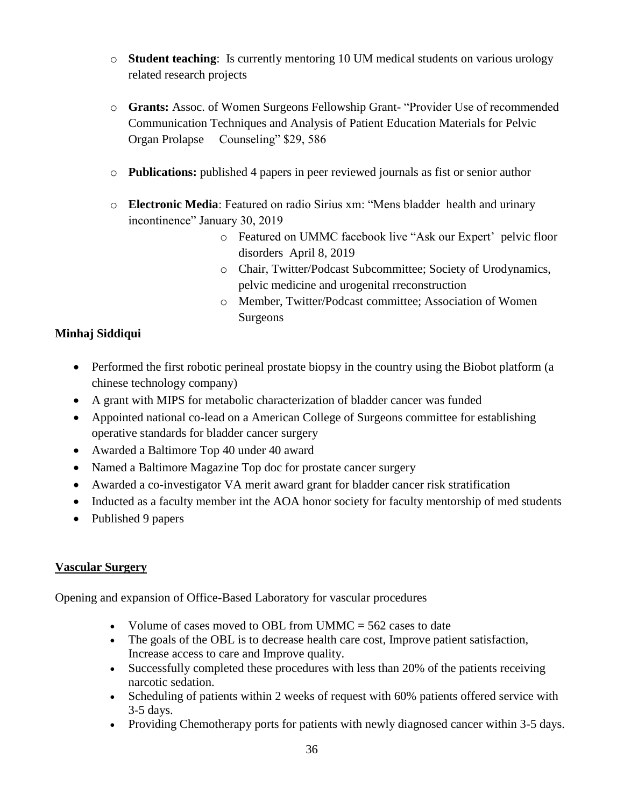- o **Student teaching**: Is currently mentoring 10 UM medical students on various urology related research projects
- o **Grants:** Assoc. of Women Surgeons Fellowship Grant- "Provider Use of recommended Communication Techniques and Analysis of Patient Education Materials for Pelvic Organ Prolapse Counseling" \$29, 586
- o **Publications:** published 4 papers in peer reviewed journals as fist or senior author
- o **Electronic Media**: Featured on radio Sirius xm: "Mens bladder health and urinary incontinence" January 30, 2019
	- o Featured on UMMC facebook live "Ask our Expert' pelvic floor disorders April 8, 2019
	- o Chair, Twitter/Podcast Subcommittee; Society of Urodynamics, pelvic medicine and urogenital rreconstruction
	- o Member, Twitter/Podcast committee; Association of Women Surgeons

### **Minhaj Siddiqui**

- Performed the first robotic perineal prostate biopsy in the country using the Biobot platform (a chinese technology company)
- A grant with MIPS for metabolic characterization of bladder cancer was funded
- Appointed national co-lead on a American College of Surgeons committee for establishing operative standards for bladder cancer surgery
- Awarded a Baltimore Top 40 under 40 award
- Named a Baltimore Magazine Top doc for prostate cancer surgery
- Awarded a co-investigator VA merit award grant for bladder cancer risk stratification
- Inducted as a faculty member int the AOA honor society for faculty mentorship of med students
- Published 9 papers

### **Vascular Surgery**

Opening and expansion of Office-Based Laboratory for vascular procedures

- Volume of cases moved to OBL from UMMC  $=$  562 cases to date
- The goals of the OBL is to decrease health care cost, Improve patient satisfaction, Increase access to care and Improve quality.
- Successfully completed these procedures with less than 20% of the patients receiving narcotic sedation.
- Scheduling of patients within 2 weeks of request with 60% patients offered service with 3-5 days.
- Providing Chemotherapy ports for patients with newly diagnosed cancer within 3-5 days.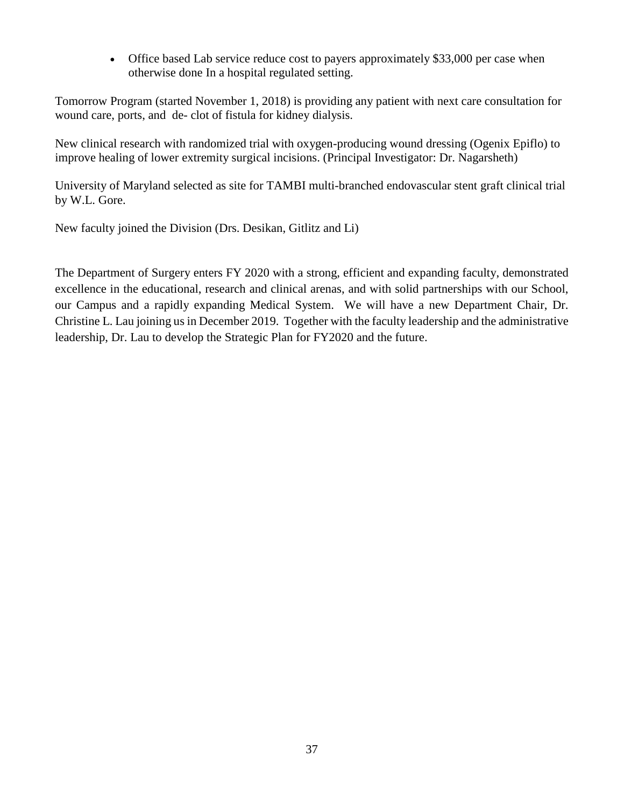• Office based Lab service reduce cost to payers approximately \$33,000 per case when otherwise done In a hospital regulated setting.

Tomorrow Program (started November 1, 2018) is providing any patient with next care consultation for wound care, ports, and de- clot of fistula for kidney dialysis.

New clinical research with randomized trial with oxygen-producing wound dressing (Ogenix Epiflo) to improve healing of lower extremity surgical incisions. (Principal Investigator: Dr. Nagarsheth)

University of Maryland selected as site for TAMBI multi-branched endovascular stent graft clinical trial by W.L. Gore.

New faculty joined the Division (Drs. Desikan, Gitlitz and Li)

The Department of Surgery enters FY 2020 with a strong, efficient and expanding faculty, demonstrated excellence in the educational, research and clinical arenas, and with solid partnerships with our School, our Campus and a rapidly expanding Medical System. We will have a new Department Chair, Dr. Christine L. Lau joining us in December 2019. Together with the faculty leadership and the administrative leadership, Dr. Lau to develop the Strategic Plan for FY2020 and the future.